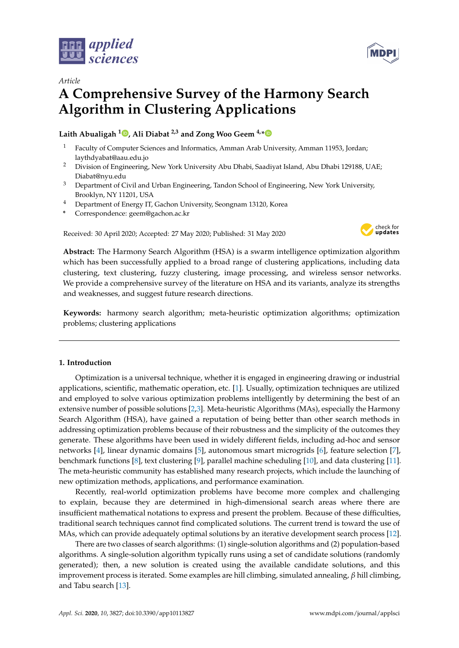



# *Article* **A Comprehensive Survey of the Harmony Search Algorithm in Clustering Applications**

# **Laith Abualigah <sup>1</sup> [,](https://orcid.org/0000-0003-1597-9023) Ali Diabat 2,3 and Zong Woo Geem 4,[\\*](https://orcid.org/0000-0002-0370-5562)**

- <sup>1</sup> Faculty of Computer Sciences and Informatics, Amman Arab University, Amman 11953, Jordan; laythdyabat@aau.edu.jo
- <sup>2</sup> Division of Engineering, New York University Abu Dhabi, Saadiyat Island, Abu Dhabi 129188, UAE; Diabat@nyu.edu
- <sup>3</sup> Department of Civil and Urban Engineering, Tandon School of Engineering, New York University, Brooklyn, NY 11201, USA
- <sup>4</sup> Department of Energy IT, Gachon University, Seongnam 13120, Korea
- **\*** Correspondence: geem@gachon.ac.kr

Received: 30 April 2020; Accepted: 27 May 2020; Published: 31 May 2020



**Abstract:** The Harmony Search Algorithm (HSA) is a swarm intelligence optimization algorithm which has been successfully applied to a broad range of clustering applications, including data clustering, text clustering, fuzzy clustering, image processing, and wireless sensor networks. We provide a comprehensive survey of the literature on HSA and its variants, analyze its strengths and weaknesses, and suggest future research directions.

**Keywords:** harmony search algorithm; meta-heuristic optimization algorithms; optimization problems; clustering applications

## **1. Introduction**

Optimization is a universal technique, whether it is engaged in engineering drawing or industrial applications, scientific, mathematic operation, etc. [\[1\]](#page-20-0). Usually, optimization techniques are utilized and employed to solve various optimization problems intelligently by determining the best of an extensive number of possible solutions [\[2,](#page-20-1)[3\]](#page-20-2). Meta-heuristic Algorithms (MAs), especially the Harmony Search Algorithm (HSA), have gained a reputation of being better than other search methods in addressing optimization problems because of their robustness and the simplicity of the outcomes they generate. These algorithms have been used in widely different fields, including ad-hoc and sensor networks [\[4\]](#page-20-3), linear dynamic domains [\[5\]](#page-20-4), autonomous smart microgrids [\[6\]](#page-20-5), feature selection [\[7\]](#page-20-6), benchmark functions [\[8\]](#page-20-7), text clustering [\[9\]](#page-20-8), parallel machine scheduling [\[10\]](#page-20-9), and data clustering [\[11\]](#page-20-10). The meta-heuristic community has established many research projects, which include the launching of new optimization methods, applications, and performance examination.

Recently, real-world optimization problems have become more complex and challenging to explain, because they are determined in high-dimensional search areas where there are insufficient mathematical notations to express and present the problem. Because of these difficulties, traditional search techniques cannot find complicated solutions. The current trend is toward the use of MAs, which can provide adequately optimal solutions by an iterative development search process [\[12\]](#page-20-11).

There are two classes of search algorithms: (1) single-solution algorithms and (2) population-based algorithms. A single-solution algorithm typically runs using a set of candidate solutions (randomly generated); then, a new solution is created using the available candidate solutions, and this improvement process is iterated. Some examples are hill climbing, simulated annealing, *β* hill climbing, and Tabu search [\[13\]](#page-20-12).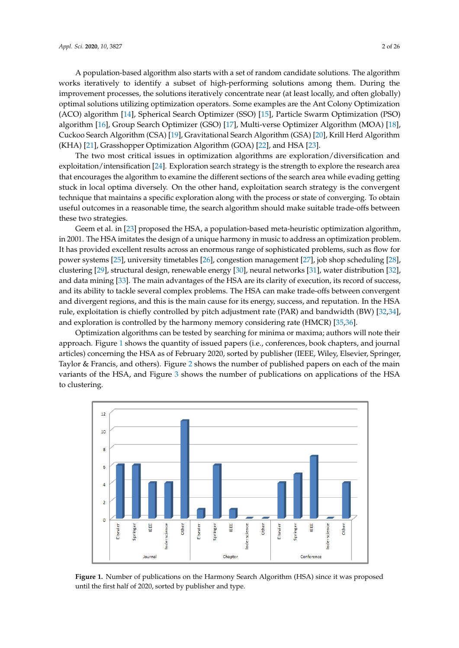A population-based algorithm also starts with a set of random candidate solutions. The algorithm works iteratively to identify a subset of high-performing solutions among them. During the improvement processes, the solutions iteratively concentrate near (at least locally, and often globally) optimal solutions utilizing optimization operators. Some examples are the Ant Colony Optimization (ACO) algorithm [\[14\]](#page-20-13), Spherical Search Optimizer (SSO) [\[15\]](#page-20-14), Particle Swarm Optimization (PSO) algorithm [\[16\]](#page-20-15), Group Search Optimizer (GSO) [\[17\]](#page-20-16), Multi-verse Optimizer Algorithm (MOA) [\[18\]](#page-20-17), Cuckoo Search Algorithm (CSA) [\[19\]](#page-21-0), Gravitational Search Algorithm (GSA) [\[20\]](#page-21-1), Krill Herd Algorithm (KHA) [\[21\]](#page-21-2), Grasshopper Optimization Algorithm (GOA) [\[22\]](#page-21-3), and HSA [\[23\]](#page-21-4).

The two most critical issues in optimization algorithms are exploration/diversification and exploitation/intensification [\[24\]](#page-21-5). Exploration search strategy is the strength to explore the research area that encourages the algorithm to examine the different sections of the search area while evading getting stuck in local optima diversely. On the other hand, exploitation search strategy is the convergent technique that maintains a specific exploration along with the process or state of converging. To obtain useful outcomes in a reasonable time, the search algorithm should make suitable trade-offs between these two strategies.

Geem et al. in [\[23\]](#page-21-4) proposed the HSA, a population-based meta-heuristic optimization algorithm, in 2001. The HSA imitates the design of a unique harmony in music to address an optimization problem. It has provided excellent results across an enormous range of sophisticated problems, such as flow for power systems [\[25\]](#page-21-6), university timetables [\[26\]](#page-21-7), congestion management [\[27\]](#page-21-8), job shop scheduling [\[28\]](#page-21-9), clustering [\[29\]](#page-21-10), structural design, renewable energy [\[30\]](#page-21-11), neural networks [\[31\]](#page-21-12), water distribution [\[32\]](#page-21-13), and data mining [\[33\]](#page-21-14). The main advantages of the HSA are its clarity of execution, its record of success, and its ability to tackle several complex problems. The HSA can make trade-offs between convergent and divergent regions, and this is the main cause for its energy, success, and reputation. In the HSA rule, exploitation is chiefly controlled by pitch adjustment rate (PAR) and bandwidth (BW) [\[32,](#page-21-13)[34\]](#page-21-15), and exploration is controlled by the harmony memory considering rate (HMCR) [\[35](#page-21-16)[,36\]](#page-21-17).

Optimization algorithms can be tested by searching for minima or maxima; authors will note their approach. Figure [1](#page-1-0) shows the quantity of issued papers (i.e., conferences, book chapters, and journal articles) concerning the HSA as of February 2020, sorted by publisher (IEEE, Wiley, Elsevier, Springer, Taylor & Francis, and others). Figure [2](#page-2-0) shows the number of published papers on each of the main variants of the HSA, and Figure [3](#page-2-1) shows the number of publications on applications of the HSA to clustering.

<span id="page-1-0"></span>

**Figure 1.** Number of publications on the Harmony Search Algorithm (HSA) since it was proposed until the first half of 2020, sorted by publisher and type.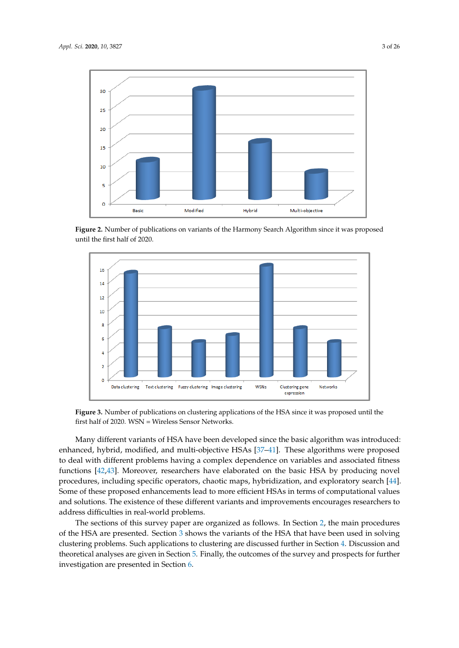<span id="page-2-0"></span>

**Figure 2.** Number of publications on variants of the Harmony Search Algorithm since it was proposed until the first half of 2020.

<span id="page-2-1"></span>

**Figure 3.** Number of publications on clustering applications of the HSA since it was proposed until the first half of 2020. WSN = Wireless Sensor Networks.

Many different variants of HSA have been developed since the basic algorithm was introduced: enhanced, hybrid, modified, and multi-objective HSAs [\[37](#page-21-18)[–41\]](#page-22-0). These algorithms were proposed to deal with different problems having a complex dependence on variables and associated fitness functions [\[42,](#page-22-1)[43\]](#page-22-2). Moreover, researchers have elaborated on the basic HSA by producing novel procedures, including specific operators, chaotic maps, hybridization, and exploratory search [\[44\]](#page-22-3). Some of these proposed enhancements lead to more efficient HSAs in terms of computational values and solutions. The existence of these different variants and improvements encourages researchers to address difficulties in real-world problems.

The sections of this survey paper are organized as follows. In Section [2,](#page-3-0) the main procedures of the HSA are presented. Section [3](#page-4-0) shows the variants of the HSA that have been used in solving clustering problems. Such applications to clustering are discussed further in Section [4.](#page-9-0) Discussion and theoretical analyses are given in Section [5.](#page-17-0) Finally, the outcomes of the survey and prospects for further investigation are presented in Section [6.](#page-19-0)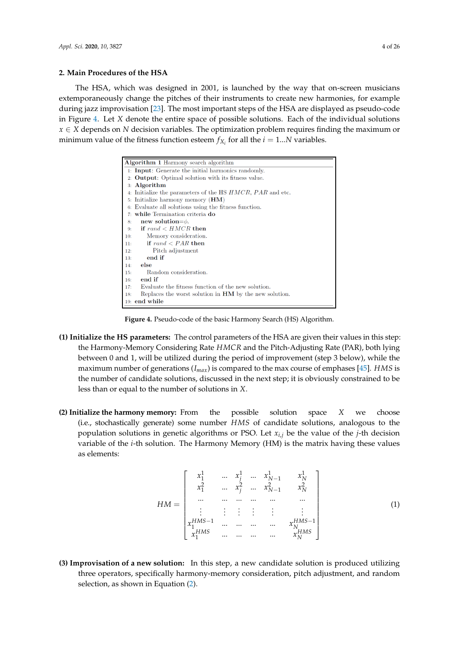#### <span id="page-3-0"></span>**2. Main Procedures of the HSA**

The HSA, which was designed in 2001, is launched by the way that on-screen musicians extemporaneously change the pitches of their instruments to create new harmonies, for example during jazz improvisation [\[23\]](#page-21-4). The most important steps of the HSA are displayed as pseudo-code in Figure [4.](#page-3-1) Let *X* denote the entire space of possible solutions. Each of the individual solutions *x* ∈ *X* depends on *N* decision variables. The optimization problem requires finding the maximum or minimum value of the fitness function esteem  $f_{X_i}$  for all the  $i = 1...N$  variables.

<span id="page-3-1"></span>

| Algorithm 1 Harmony search algorithm                                     |
|--------------------------------------------------------------------------|
| 1. <b>Input</b> : Generate the initial harmonics randomly.               |
| 2: <b>Output</b> : Optimal solution with its fitness value.              |
| $3:$ Algorithm                                                           |
| 4. Initialize the parameters of the HS <i>HMCR</i> , <i>PAR</i> and etc. |
| 5: Initialize harmony memory $(HM)$                                      |
| 6: Evaluate all solutions using the fitness function.                    |
| 7: while Termination criteria do                                         |
| new solution= $\phi$ .<br>8:                                             |
| if $rand < HMCR$ then<br>$9+$                                            |
| Memory consideration.<br>10:                                             |
| if $rand < PAR$ then<br>11:                                              |
| Pitch adjustment<br>12:                                                  |
| end if<br>13:                                                            |
| else<br>14:                                                              |
| Random consideration.<br>15:                                             |
| end if<br>16:                                                            |
| Evaluate the fitness function of the new solution.<br>17:                |
| Replaces the worst solution in <b>HM</b> by the new solution.<br>18:     |
| 19: end while                                                            |

**Figure 4.** Pseudo-code of the basic Harmony Search (HS) Algorithm.

- **(1) Initialize the HS parameters:** The control parameters of the HSA are given their values in this step: the Harmony-Memory Considering Rate *HMCR* and the Pitch-Adjusting Rate (PAR), both lying between 0 and 1, will be utilized during the period of improvement (step 3 below), while the maximum number of generations (*Imax*) is compared to the max course of emphases [\[45\]](#page-22-4). *HMS* is the number of candidate solutions, discussed in the next step; it is obviously constrained to be less than or equal to the number of solutions in *X*.
- **(2) Initialize the harmony memory:** From the possible solution space *X* we choose (i.e., stochastically generate) some number *HMS* of candidate solutions, analogous to the population solutions in genetic algorithms or PSO. Let *xi*,*<sup>j</sup>* be the value of the *j*-th decision variable of the *i*-th solution. The Harmony Memory (HM) is the matrix having these values as elements:

$$
HM = \begin{bmatrix} x_1^1 & \dots & x_j^1 & \dots & x_{N-1}^1 & x_N^1 \\ x_1^2 & \dots & x_j^2 & \dots & x_{N-1}^2 & x_N^2 \\ \dots & \dots & \dots & \dots & \dots & \dots \\ \vdots & \vdots & \vdots & \vdots & \vdots & \vdots \\ x_1^{HMS-1} & \dots & \dots & \dots & x_N^{HMS-1} \\ x_1^{HMS} & \dots & \dots & \dots & \dots & x_N^{HMS} \end{bmatrix}
$$
 (1)

**(3) Improvisation of a new solution:** In this step, a new candidate solution is produced utilizing three operators, specifically harmony-memory consideration, pitch adjustment, and random selection, as shown in Equation [\(2\)](#page-4-1).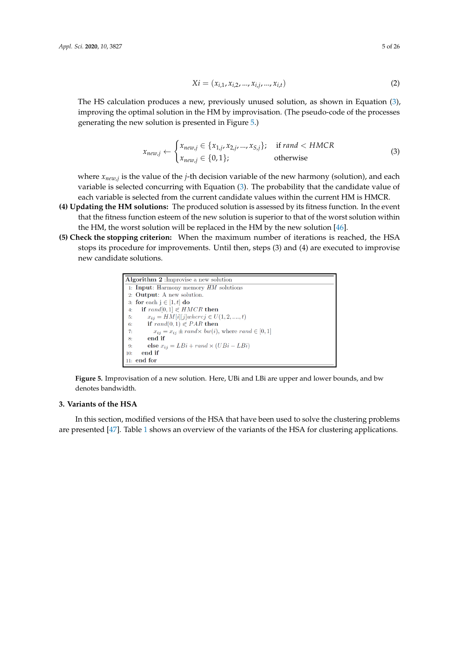<span id="page-4-1"></span>
$$
Xi = (x_{i,1}, x_{i,2}, ..., x_{i,j}, ..., x_{i,t})
$$
\n(2)

The HS calculation produces a new, previously unused solution, as shown in Equation [\(3\)](#page-4-2), improving the optimal solution in the HM by improvisation. (The pseudo-code of the processes generating the new solution is presented in Figure [5.](#page-4-3))

<span id="page-4-2"></span>
$$
x_{new,j} \leftarrow \begin{cases} x_{new,j} \in \{x_{1,j}, x_{2,j}, \dots, x_{S,j}\}; & \text{if } rand < HMCR\\ x_{new,j} \in \{0, 1\}; & \text{otherwise} \end{cases} \tag{3}
$$

where *xnew*,*<sup>j</sup>* is the value of the *j*-th decision variable of the new harmony (solution), and each variable is selected concurring with Equation [\(3\)](#page-4-2). The probability that the candidate value of each variable is selected from the current candidate values within the current HM is HMCR.

- **(4) Updating the HM solutions:** The produced solution is assessed by its fitness function. In the event that the fitness function esteem of the new solution is superior to that of the worst solution within the HM, the worst solution will be replaced in the HM by the new solution [\[46\]](#page-22-5).
- <span id="page-4-3"></span>**(5) Check the stopping criterion:** When the maximum number of iterations is reached, the HSA stops its procedure for improvements. Until then, steps (3) and (4) are executed to improvise new candidate solutions.





## <span id="page-4-0"></span>**3. Variants of the HSA**

In this section, modified versions of the HSA that have been used to solve the clustering problems are presented [\[47\]](#page-22-6). Table [1](#page-5-0) shows an overview of the variants of the HSA for clustering applications.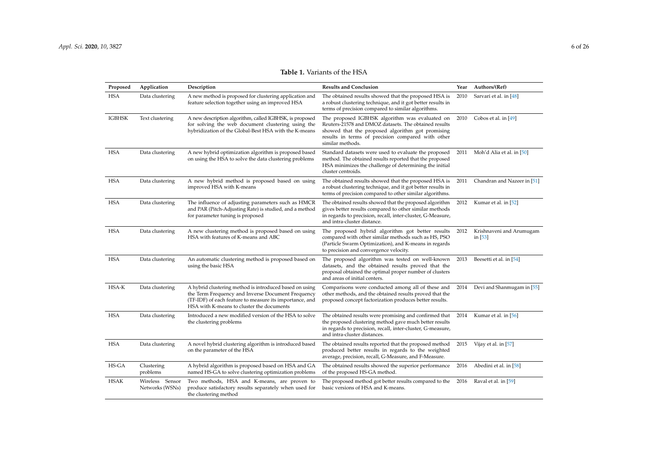<span id="page-5-0"></span>

| Proposed      | Application                        | Description                                                                                                                                                                                                          | <b>Results and Conclusion</b>                                                                                                                                                                                                        | Year | Authors/(Ref)                       |
|---------------|------------------------------------|----------------------------------------------------------------------------------------------------------------------------------------------------------------------------------------------------------------------|--------------------------------------------------------------------------------------------------------------------------------------------------------------------------------------------------------------------------------------|------|-------------------------------------|
| <b>HSA</b>    | Data clustering                    | A new method is proposed for clustering application and<br>feature selection together using an improved HSA                                                                                                          | The obtained results showed that the proposed HSA is<br>a robust clustering technique, and it got better results in<br>terms of precision compared to similar algorithms.                                                            | 2010 | Sarvari et al. in [48]              |
| <b>IGBHSK</b> | Text clustering                    | A new description algorithm, called IGBHSK, is proposed<br>for solving the web document clustering using the<br>hybridization of the Global-Best HSA with the K-means                                                | The proposed IGBHSK algorithm was evaluated on<br>Reuters-21578 and DMOZ datasets. The obtained results<br>showed that the proposed algorithm got promising<br>results in terms of precision compared with other<br>similar methods. | 2010 | Cobos et al. in $[49]$              |
| <b>HSA</b>    | Data clustering                    | A new hybrid optimization algorithm is proposed based<br>on using the HSA to solve the data clustering problems                                                                                                      | Standard datasets were used to evaluate the proposed<br>method. The obtained results reported that the proposed<br>HSA minimizes the challenge of determining the initial<br>cluster centroids.                                      | 2011 | Moh'd Alia et al. in [50]           |
| <b>HSA</b>    | Data clustering                    | A new hybrid method is proposed based on using<br>improved HSA with K-means                                                                                                                                          | The obtained results showed that the proposed HSA is<br>a robust clustering technique, and it got better results in<br>terms of precision compared to other similar algorithms.                                                      | 2011 | Chandran and Nazeer in [51]         |
| <b>HSA</b>    | Data clustering                    | The influence of adjusting parameters such as HMCR<br>and PAR (Pitch-Adjusting Rate) is studied, and a method<br>for parameter tuning is proposed                                                                    | The obtained results showed that the proposed algorithm<br>gives better results compared to other similar methods<br>in regards to precision, recall, inter-cluster, G-Measure,<br>and intra-cluster distance.                       | 2012 | Kumar et al. in [52]                |
| <b>HSA</b>    | Data clustering                    | A new clustering method is proposed based on using<br>HSA with features of K-means and ABC                                                                                                                           | The proposed hybrid algorithm got better results<br>compared with other similar methods such as HS, PSO<br>(Particle Swarm Optimization), and K-means in regards<br>to precision and convergence velocity.                           | 2012 | Krishnaveni and Arumugam<br>in [53] |
| <b>HSA</b>    | Data clustering                    | An automatic clustering method is proposed based on<br>using the basic HSA                                                                                                                                           | The proposed algorithm was tested on well-known<br>datasets, and the obtained results proved that the<br>proposal obtained the optimal proper number of clusters<br>and areas of initial centers.                                    | 2013 | Beesetti et al. in [54]             |
| HSA-K         | Data clustering                    | A hybrid clustering method is introduced based on using<br>the Term Frequency and Inverse Document Frequency<br>(TF-IDF) of each feature to measure its importance, and<br>HSA with K-means to cluster the documents | Comparisons were conducted among all of these and<br>other methods, and the obtained results proved that the<br>proposed concept factorization produces better results.                                                              | 2014 | Devi and Shanmugam in [55]          |
| <b>HSA</b>    | Data clustering                    | Introduced a new modified version of the HSA to solve<br>the clustering problems                                                                                                                                     | The obtained results were promising and confirmed that<br>the proposed clustering method gave much better results<br>in regards to precision, recall, inter-cluster, G-measure,<br>and intra-cluster distances.                      | 2014 | Kumar et al. in [56]                |
| <b>HSA</b>    | Data clustering                    | A novel hybrid clustering algorithm is introduced based<br>on the parameter of the HSA                                                                                                                               | The obtained results reported that the proposed method<br>produced better results in regards to the weighted<br>average, precision, recall, G-Measure, and F-Measure.                                                                | 2015 | Vijay et al. in [57]                |
| HS-GA         | Clustering<br>problems             | A hybrid algorithm is proposed based on HSA and GA<br>named HS-GA to solve clustering optimization problems                                                                                                          | The obtained results showed the superior performance<br>of the proposed HS-GA method.                                                                                                                                                | 2016 | Abedini et al. in [58]              |
| HSAK          | Wireless Sensor<br>Networks (WSNs) | Two methods, HSA and K-means, are proven to<br>produce satisfactory results separately when used for<br>the clustering method                                                                                        | The proposed method got better results compared to the<br>basic versions of HSA and K-means.                                                                                                                                         | 2016 | Raval et al. in [59]                |

## **Table 1.** Variants of the HSA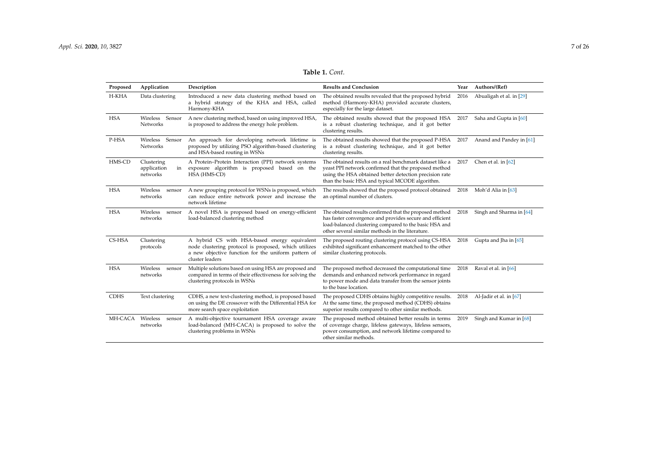| Proposed    | Application                                 | Description                                                                                                                                                                    | <b>Results and Conclusion</b>                                                                                                                                                                                                     | Year | Authors/(Ref)            |
|-------------|---------------------------------------------|--------------------------------------------------------------------------------------------------------------------------------------------------------------------------------|-----------------------------------------------------------------------------------------------------------------------------------------------------------------------------------------------------------------------------------|------|--------------------------|
| H-KHA       | Data clustering                             | Introduced a new data clustering method based on<br>a hybrid strategy of the KHA and HSA, called<br>Harmony-KHA                                                                | The obtained results revealed that the proposed hybrid<br>method (Harmony-KHA) provided accurate clusters,<br>especially for the large dataset.                                                                                   | 2016 | Abualigah et al. in [29] |
| <b>HSA</b>  | Wireless<br>Sensor<br>Networks              | A new clustering method, based on using improved HSA,<br>is proposed to address the energy hole problem.                                                                       | The obtained results showed that the proposed HSA<br>is a robust clustering technique, and it got better<br>clustering results.                                                                                                   | 2017 | Saha and Gupta in [60]   |
| P-HSA       | Wireless Sensor<br><b>Networks</b>          | An approach for developing network lifetime is<br>proposed by utilizing PSO algorithm-based clustering<br>and HSA-based routing in WSNs                                        | The obtained results showed that the proposed P-HSA<br>is a robust clustering technique, and it got better<br>clustering results.                                                                                                 | 2017 | Anand and Pandey in [61] |
| HMS-CD      | Clustering<br>application<br>in<br>networks | A Protein-Protein Interaction (PPI) network systems<br>exposure algorithm is proposed based on the<br>HSA (HMS-CD)                                                             | The obtained results on a real benchmark dataset like a<br>yeast PPI network confirmed that the proposed method<br>using the HSA obtained better detection precision rate<br>than the basic HSA and typical MCODE algorithm.      | 2017 | Chen et al. in $[62]$    |
| <b>HSA</b>  | Wireless<br>sensor<br>networks              | A new grouping protocol for WSNs is proposed, which<br>can reduce entire network power and increase the<br>network lifetime                                                    | The results showed that the proposed protocol obtained<br>an optimal number of clusters.                                                                                                                                          | 2018 | Moh'd Alia in [63]       |
| <b>HSA</b>  | Wireless<br>sensor<br>networks              | A novel HSA is proposed based on energy-efficient<br>load-balanced clustering method                                                                                           | The obtained results confirmed that the proposed method<br>has faster convergence and provides secure and efficient<br>load-balanced clustering compared to the basic HSA and<br>other several similar methods in the literature. | 2018 | Singh and Sharma in [64] |
| CS-HSA      | Clustering<br>protocols                     | A hybrid CS with HSA-based energy equivalent<br>node clustering protocol is proposed, which utilizes<br>a new objective function for the uniform pattern of<br>cluster leaders | The proposed routing clustering protocol using CS-HSA<br>exhibited significant enhancement matched to the other<br>similar clustering protocols.                                                                                  | 2018 | Gupta and Jha in [65]    |
| <b>HSA</b>  | Wireless<br>sensor<br>networks              | Multiple solutions based on using HSA are proposed and<br>compared in terms of their effectiveness for solving the<br>clustering protocols in WSNs                             | The proposed method decreased the computational time<br>demands and enhanced network performance in regard<br>to power mode and data transfer from the sensor joints<br>to the base location.                                     | 2018 | Raval et al. in [66]     |
| <b>CDHS</b> | Text clustering                             | CDHS, a new text-clustering method, is proposed based<br>on using the DE crossover with the Differential HSA for<br>more search space exploitation                             | The proposed CDHS obtains highly competitive results.<br>At the same time, the proposed method (CDHS) obtains<br>superior results compared to other similar methods.                                                              | 2018 | Al-Jadir et al. in [67]  |
| MH-CACA     | Wireless<br>sensor<br>networks              | A multi-objective tournament HSA coverage aware<br>load-balanced (MH-CACA) is proposed to solve the<br>clustering problems in WSNs                                             | The proposed method obtained better results in terms<br>of coverage charge, lifeless gateways, lifeless sensors,<br>power consumption, and network lifetime compared to<br>other similar methods.                                 | 2019 | Singh and Kumar in [68]  |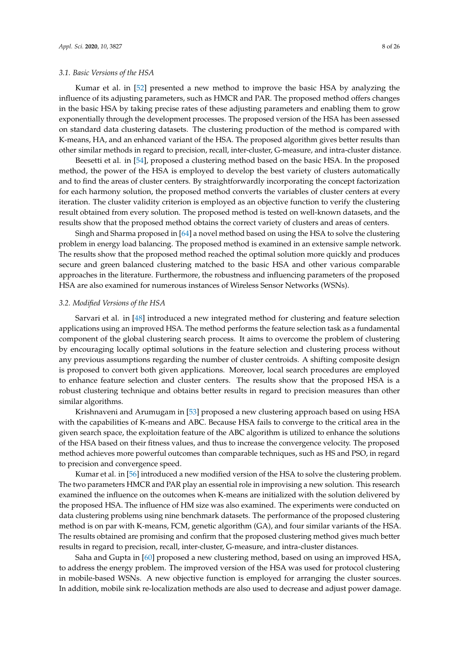#### *3.1. Basic Versions of the HSA*

Kumar et al. in [\[52\]](#page-22-19) presented a new method to improve the basic HSA by analyzing the influence of its adjusting parameters, such as HMCR and PAR. The proposed method offers changes in the basic HSA by taking precise rates of these adjusting parameters and enabling them to grow exponentially through the development processes. The proposed version of the HSA has been assessed on standard data clustering datasets. The clustering production of the method is compared with K-means, HA, and an enhanced variant of the HSA. The proposed algorithm gives better results than other similar methods in regard to precision, recall, inter-cluster, G-measure, and intra-cluster distance.

Beesetti et al. in [\[54\]](#page-22-20), proposed a clustering method based on the basic HSA. In the proposed method, the power of the HSA is employed to develop the best variety of clusters automatically and to find the areas of cluster centers. By straightforwardly incorporating the concept factorization for each harmony solution, the proposed method converts the variables of cluster centers at every iteration. The cluster validity criterion is employed as an objective function to verify the clustering result obtained from every solution. The proposed method is tested on well-known datasets, and the results show that the proposed method obtains the correct variety of clusters and areas of centers.

Singh and Sharma proposed in [\[64\]](#page-23-9) a novel method based on using the HSA to solve the clustering problem in energy load balancing. The proposed method is examined in an extensive sample network. The results show that the proposed method reached the optimal solution more quickly and produces secure and green balanced clustering matched to the basic HSA and other various comparable approaches in the literature. Furthermore, the robustness and influencing parameters of the proposed HSA are also examined for numerous instances of Wireless Sensor Networks (WSNs).

#### *3.2. Modified Versions of the HSA*

Sarvari et al. in [\[48\]](#page-22-21) introduced a new integrated method for clustering and feature selection applications using an improved HSA. The method performs the feature selection task as a fundamental component of the global clustering search process. It aims to overcome the problem of clustering by encouraging locally optimal solutions in the feature selection and clustering process without any previous assumptions regarding the number of cluster centroids. A shifting composite design is proposed to convert both given applications. Moreover, local search procedures are employed to enhance feature selection and cluster centers. The results show that the proposed HSA is a robust clustering technique and obtains better results in regard to precision measures than other similar algorithms.

Krishnaveni and Arumugam in [\[53\]](#page-22-22) proposed a new clustering approach based on using HSA with the capabilities of K-means and ABC. Because HSA fails to converge to the critical area in the given search space, the exploitation feature of the ABC algorithm is utilized to enhance the solutions of the HSA based on their fitness values, and thus to increase the convergence velocity. The proposed method achieves more powerful outcomes than comparable techniques, such as HS and PSO, in regard to precision and convergence speed.

Kumar et al. in [\[56\]](#page-22-23) introduced a new modified version of the HSA to solve the clustering problem. The two parameters HMCR and PAR play an essential role in improvising a new solution. This research examined the influence on the outcomes when K-means are initialized with the solution delivered by the proposed HSA. The influence of HM size was also examined. The experiments were conducted on data clustering problems using nine benchmark datasets. The performance of the proposed clustering method is on par with K-means, FCM, genetic algorithm (GA), and four similar variants of the HSA. The results obtained are promising and confirm that the proposed clustering method gives much better results in regard to precision, recall, inter-cluster, G-measure, and intra-cluster distances.

Saha and Gupta in [\[60\]](#page-23-10) proposed a new clustering method, based on using an improved HSA, to address the energy problem. The improved version of the HSA was used for protocol clustering in mobile-based WSNs. A new objective function is employed for arranging the cluster sources. In addition, mobile sink re-localization methods are also used to decrease and adjust power damage.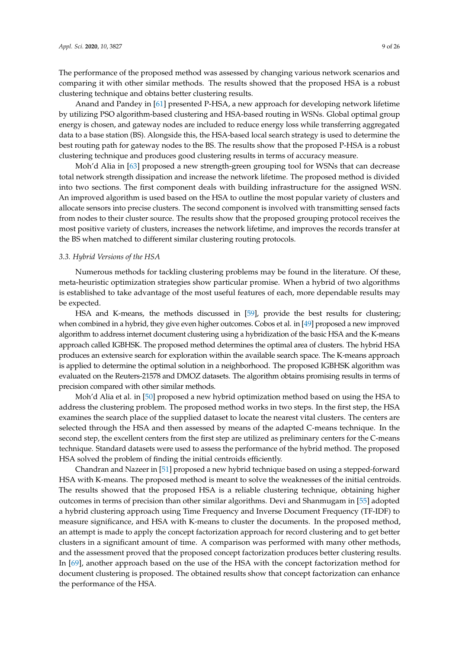The performance of the proposed method was assessed by changing various network scenarios and comparing it with other similar methods. The results showed that the proposed HSA is a robust clustering technique and obtains better clustering results.

Anand and Pandey in [\[61\]](#page-23-11) presented P-HSA, a new approach for developing network lifetime by utilizing PSO algorithm-based clustering and HSA-based routing in WSNs. Global optimal group energy is chosen, and gateway nodes are included to reduce energy loss while transferring aggregated data to a base station (BS). Alongside this, the HSA-based local search strategy is used to determine the best routing path for gateway nodes to the BS. The results show that the proposed P-HSA is a robust clustering technique and produces good clustering results in terms of accuracy measure.

Moh'd Alia in [\[63\]](#page-23-12) proposed a new strength-green grouping tool for WSNs that can decrease total network strength dissipation and increase the network lifetime. The proposed method is divided into two sections. The first component deals with building infrastructure for the assigned WSN. An improved algorithm is used based on the HSA to outline the most popular variety of clusters and allocate sensors into precise clusters. The second component is involved with transmitting sensed facts from nodes to their cluster source. The results show that the proposed grouping protocol receives the most positive variety of clusters, increases the network lifetime, and improves the records transfer at the BS when matched to different similar clustering routing protocols.

## *3.3. Hybrid Versions of the HSA*

Numerous methods for tackling clustering problems may be found in the literature. Of these, meta-heuristic optimization strategies show particular promise. When a hybrid of two algorithms is established to take advantage of the most useful features of each, more dependable results may be expected.

HSA and K-means, the methods discussed in [\[59\]](#page-22-24), provide the best results for clustering; when combined in a hybrid, they give even higher outcomes. Cobos et al. in [\[49\]](#page-22-15) proposed a new improved algorithm to address internet document clustering using a hybridization of the basic HSA and the K-means approach called IGBHSK. The proposed method determines the optimal area of clusters. The hybrid HSA produces an extensive search for exploration within the available search space. The K-means approach is applied to determine the optimal solution in a neighborhood. The proposed IGBHSK algorithm was evaluated on the Reuters-21578 and DMOZ datasets. The algorithm obtains promising results in terms of precision compared with other similar methods.

Moh'd Alia et al. in [\[50\]](#page-22-25) proposed a new hybrid optimization method based on using the HSA to address the clustering problem. The proposed method works in two steps. In the first step, the HSA examines the search place of the supplied dataset to locate the nearest vital clusters. The centers are selected through the HSA and then assessed by means of the adapted C-means technique. In the second step, the excellent centers from the first step are utilized as preliminary centers for the C-means technique. Standard datasets were used to assess the performance of the hybrid method. The proposed HSA solved the problem of finding the initial centroids efficiently.

Chandran and Nazeer in [\[51\]](#page-22-26) proposed a new hybrid technique based on using a stepped-forward HSA with K-means. The proposed method is meant to solve the weaknesses of the initial centroids. The results showed that the proposed HSA is a reliable clustering technique, obtaining higher outcomes in terms of precision than other similar algorithms. Devi and Shanmugam in [\[55\]](#page-22-27) adopted a hybrid clustering approach using Time Frequency and Inverse Document Frequency (TF-IDF) to measure significance, and HSA with K-means to cluster the documents. In the proposed method, an attempt is made to apply the concept factorization approach for record clustering and to get better clusters in a significant amount of time. A comparison was performed with many other methods, and the assessment proved that the proposed concept factorization produces better clustering results. In [\[69\]](#page-23-13), another approach based on the use of the HSA with the concept factorization method for document clustering is proposed. The obtained results show that concept factorization can enhance the performance of the HSA.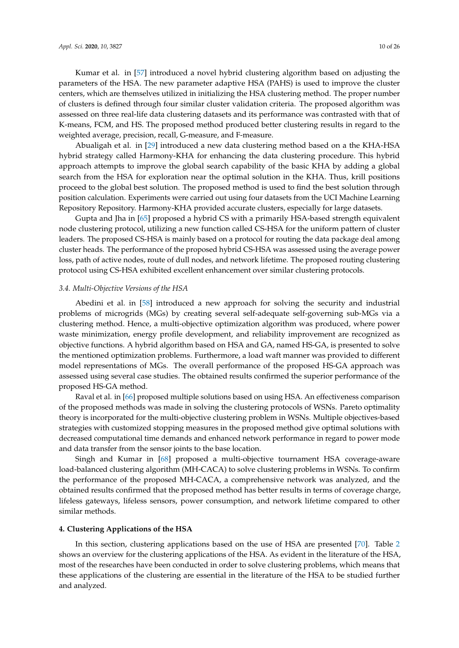Kumar et al. in [\[57\]](#page-22-28) introduced a novel hybrid clustering algorithm based on adjusting the parameters of the HSA. The new parameter adaptive HSA (PAHS) is used to improve the cluster centers, which are themselves utilized in initializing the HSA clustering method. The proper number of clusters is defined through four similar cluster validation criteria. The proposed algorithm was assessed on three real-life data clustering datasets and its performance was contrasted with that of K-means, FCM, and HS. The proposed method produced better clustering results in regard to the weighted average, precision, recall, G-measure, and F-measure.

Abualigah et al. in [\[29\]](#page-21-10) introduced a new data clustering method based on a the KHA-HSA hybrid strategy called Harmony-KHA for enhancing the data clustering procedure. This hybrid approach attempts to improve the global search capability of the basic KHA by adding a global search from the HSA for exploration near the optimal solution in the KHA. Thus, krill positions proceed to the global best solution. The proposed method is used to find the best solution through position calculation. Experiments were carried out using four datasets from the UCI Machine Learning Repository Repository. Harmony-KHA provided accurate clusters, especially for large datasets.

Gupta and Jha in [\[65\]](#page-23-14) proposed a hybrid CS with a primarily HSA-based strength equivalent node clustering protocol, utilizing a new function called CS-HSA for the uniform pattern of cluster leaders. The proposed CS-HSA is mainly based on a protocol for routing the data package deal among cluster heads. The performance of the proposed hybrid CS-HSA was assessed using the average power loss, path of active nodes, route of dull nodes, and network lifetime. The proposed routing clustering protocol using CS-HSA exhibited excellent enhancement over similar clustering protocols.

#### *3.4. Multi-Objective Versions of the HSA*

Abedini et al. in [\[58\]](#page-22-29) introduced a new approach for solving the security and industrial problems of microgrids (MGs) by creating several self-adequate self-governing sub-MGs via a clustering method. Hence, a multi-objective optimization algorithm was produced, where power waste minimization, energy profile development, and reliability improvement are recognized as objective functions. A hybrid algorithm based on HSA and GA, named HS-GA, is presented to solve the mentioned optimization problems. Furthermore, a load waft manner was provided to different model representations of MGs. The overall performance of the proposed HS-GA approach was assessed using several case studies. The obtained results confirmed the superior performance of the proposed HS-GA method.

Raval et al. in [\[66\]](#page-23-15) proposed multiple solutions based on using HSA. An effectiveness comparison of the proposed methods was made in solving the clustering protocols of WSNs. Pareto optimality theory is incorporated for the multi-objective clustering problem in WSNs. Multiple objectives-based strategies with customized stopping measures in the proposed method give optimal solutions with decreased computational time demands and enhanced network performance in regard to power mode and data transfer from the sensor joints to the base location.

Singh and Kumar in [\[68\]](#page-23-16) proposed a multi-objective tournament HSA coverage-aware load-balanced clustering algorithm (MH-CACA) to solve clustering problems in WSNs. To confirm the performance of the proposed MH-CACA, a comprehensive network was analyzed, and the obtained results confirmed that the proposed method has better results in terms of coverage charge, lifeless gateways, lifeless sensors, power consumption, and network lifetime compared to other similar methods.

## <span id="page-9-0"></span>**4. Clustering Applications of the HSA**

In this section, clustering applications based on the use of HSA are presented [\[70\]](#page-23-17). Table [2](#page-10-0) shows an overview for the clustering applications of the HSA. As evident in the literature of the HSA, most of the researches have been conducted in order to solve clustering problems, which means that these applications of the clustering are essential in the literature of the HSA to be studied further and analyzed.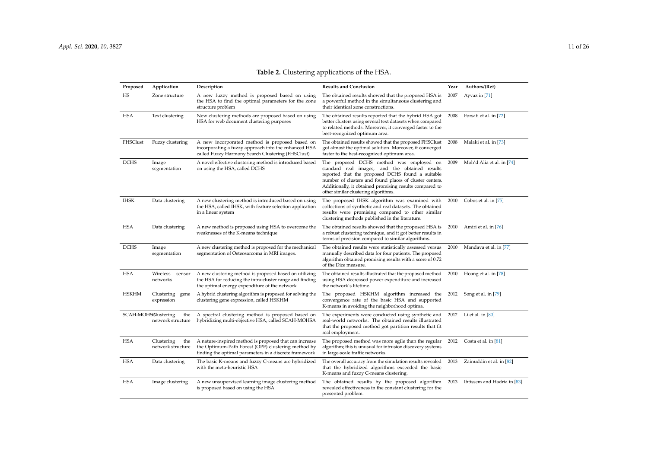<span id="page-10-0"></span>

| Proposed     | Application                                     | Description                                                                                                                                                            | <b>Results and Conclusion</b>                                                                                                                                                                                                                                                                                | Year | Authors/(Ref)               |
|--------------|-------------------------------------------------|------------------------------------------------------------------------------------------------------------------------------------------------------------------------|--------------------------------------------------------------------------------------------------------------------------------------------------------------------------------------------------------------------------------------------------------------------------------------------------------------|------|-----------------------------|
| HS           | Zone structure                                  | A new fuzzy method is proposed based on using<br>the HSA to find the optimal parameters for the zone<br>structure problem                                              | The obtained results showed that the proposed HSA is<br>a powerful method in the simultaneous clustering and<br>their identical zone constructions.                                                                                                                                                          | 2007 | Ayvaz in [71]               |
| <b>HSA</b>   | Text clustering                                 | New clustering methods are proposed based on using<br>HSA for web document clustering purposes                                                                         | The obtained results reported that the hybrid HSA got<br>better clusters using several text datasets when compared<br>to related methods. Moreover, it converged faster to the<br>best-recognized optimum area.                                                                                              | 2008 | Forsati et al. in [72]      |
| FHSClust     | Fuzzy clustering                                | A new incorporated method is proposed based on<br>incorporating a fuzzy approach into the enhanced HSA<br>called Fuzzy Harmony Search Clustering (FHSClust)            | The obtained results showed that the proposed FHSClust<br>got almost the optimal solution. Moreover, it converged<br>faster to the best-recognized optimum area.                                                                                                                                             | 2008 | Malaki et al. in [73]       |
| <b>DCHS</b>  | Image<br>segmentation                           | A novel effective clustering method is introduced based<br>on using the HSA, called DCHS                                                                               | The proposed DCHS method was employed on<br>standard real images, and the obtained results<br>reported that the proposed DCHS found a suitable<br>number of clusters and found places of cluster centers.<br>Additionally, it obtained promising results compared to<br>other similar clustering algorithms. | 2009 | Moh'd Alia et al. in [74]   |
| <b>IHSK</b>  | Data clustering                                 | A new clustering method is introduced based on using<br>the HSA, called IHSK, with feature selection application<br>in a linear system                                 | The proposed IHSK algorithm was examined with<br>collections of synthetic and real datasets. The obtained<br>results were promising compared to other similar<br>clustering methods published in the literature.                                                                                             | 2010 | Cobos et al. in [75]        |
| <b>HSA</b>   | Data clustering                                 | A new method is proposed using HSA to overcome the<br>weaknesses of the K-means technique                                                                              | The obtained results showed that the proposed HSA is<br>a robust clustering technique, and it got better results in<br>terms of precision compared to similar algorithms.                                                                                                                                    | 2010 | Amiri et al. in [76]        |
| <b>DCHS</b>  | Image<br>segmentation                           | A new clustering method is proposed for the mechanical<br>segmentation of Osteosarcoma in MRI images.                                                                  | The obtained results were statistically assessed versus<br>manually described data for four patients. The proposed<br>algorithm obtained promising results with a score of 0.72<br>of the Dice measure.                                                                                                      | 2010 | Mandava et al. in [77]      |
| <b>HSA</b>   | Wireless<br>sensor<br>networks                  | A new clustering method is proposed based on utilizing<br>the HSA for reducing the intra-cluster range and finding<br>the optimal energy expenditure of the network    | The obtained results illustrated that the proposed method<br>using HSA decreased power expenditure and increased<br>the network's lifetime.                                                                                                                                                                  | 2010 | Hoang et al. in [78]        |
| <b>HSKHM</b> | Clustering<br>gene<br>expression                | A hybrid clustering algorithm is proposed for solving the<br>clustering gene expression, called HSKHM                                                                  | The proposed HSKHM algorithm increased the<br>convergence rate of the basic HSA and supported<br>K-means in avoiding the neighborhood optima.                                                                                                                                                                | 2012 | Song et al. in [79]         |
|              | SCAH-MOHSAlustering<br>the<br>network structure | A spectral clustering method is proposed based on<br>hybridizing multi-objective HSA, called SCAH-MOHSA                                                                | The experiments were conducted using synthetic and<br>real-world networks. The obtained results illustrated<br>that the proposed method got partition results that fit<br>real employment.                                                                                                                   |      | 2012 Li et al. in [80]      |
| <b>HSA</b>   | Clustering<br>the<br>network structure          | A nature-inspired method is proposed that can increase<br>the Optimum-Path Forest (OPF) clustering method by<br>finding the optimal parameters in a discrete framework | The proposed method was more agile than the regular<br>algorithm; this is unusual for intrusion discovery systems<br>in large-scale traffic networks.                                                                                                                                                        | 2012 | Costa et al. in $[81]$      |
| HSA          | Data clustering                                 | The basic K-means and fuzzy C-means are hybridized<br>with the meta-heuristic HSA                                                                                      | The overall accuracy from the simulation results revealed<br>that the hybridized algorithms exceeded the basic<br>K-means and fuzzy C-means clustering.                                                                                                                                                      | 2013 | Zainuddin et al. in [82]    |
| <b>HSA</b>   | Image clustering                                | A new unsupervised learning image clustering method<br>is proposed based on using the HSA                                                                              | The obtained results by the proposed algorithm<br>revealed effectiveness in the constant clustering for the<br>presented problem.                                                                                                                                                                            | 2013 | Ibtissem and Hadria in [83] |

## **Table 2.** Clustering applications of the HSA.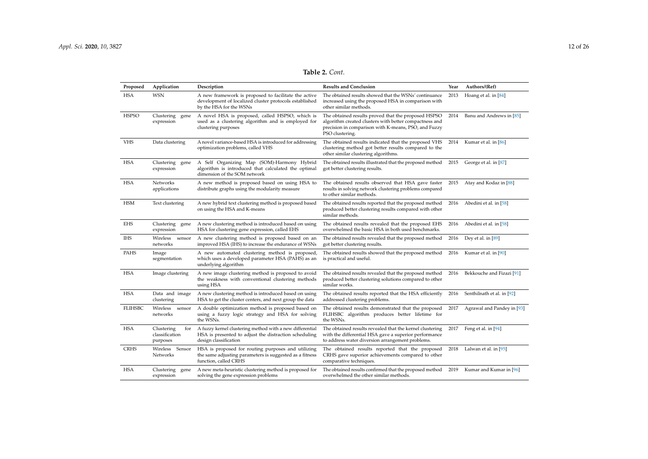## **Table 2.** *Cont.*

| Proposed       | Application                                     | Description                                                                                                                                | <b>Results and Conclusion</b>                                                                                                                                                            | Year | Authors/(Ref)              |
|----------------|-------------------------------------------------|--------------------------------------------------------------------------------------------------------------------------------------------|------------------------------------------------------------------------------------------------------------------------------------------------------------------------------------------|------|----------------------------|
| <b>HSA</b>     | <b>WSN</b>                                      | A new framework is proposed to facilitate the active<br>development of localized cluster protocols established<br>by the HSA for the WSNs  | The obtained results showed that the WSNs' continuance<br>increased using the proposed HSA in comparison with<br>other similar methods.                                                  | 2013 | Hoang et al. in [84]       |
| <b>HSPSO</b>   | Clustering<br>gene<br>expression                | A novel HSA is proposed, called HSPSO, which is<br>used as a clustering algorithm and is employed for<br>clustering purposes               | The obtained results proved that the proposed HSPSO<br>algorithm created clusters with better compactness and<br>precision in comparison with K-means, PSO, and Fuzzy<br>PSO clustering. | 2014 | Banu and Andrews in [85]   |
| <b>VHS</b>     | Data clustering                                 | A novel variance-based HSA is introduced for addressing<br>optimization problems, called VHS                                               | The obtained results indicated that the proposed VHS<br>clustering method got better results compared to the<br>other similar clustering algorithms.                                     | 2014 | Kumar et al. in [86]       |
| <b>HSA</b>     | Clustering<br>gene<br>expression                | A Self Organizing Map (SOM)-Harmony Hybrid<br>algorithm is introduced that calculated the optimal<br>dimension of the SOM network          | The obtained results illustrated that the proposed method<br>got better clustering results.                                                                                              | 2015 | George et al. in [87]      |
| <b>HSA</b>     | Networks<br>applications                        | A new method is proposed based on using HSA to<br>distribute graphs using the modularity measure                                           | The obtained results observed that HSA gave faster<br>results in solving network clustering problems compared<br>to other similar methods.                                               | 2015 | Atay and Kodaz in [88]     |
| <b>HSM</b>     | Text clustering                                 | A new hybrid text clustering method is proposed based<br>on using the HSA and K-means                                                      | The obtained results reported that the proposed method<br>produced better clustering results compared with other<br>similar methods.                                                     | 2016 | Abedini et al. in [58]     |
| <b>EHS</b>     | Clustering<br>gene<br>expression                | A new clustering method is introduced based on using<br>HSA for clustering gene expression, called EHS                                     | The obtained results revealed that the proposed EHS<br>overwhelmed the basic HSA in both used benchmarks.                                                                                | 2016 | Abedini et al. in [58]     |
| <b>IHS</b>     | Wireless<br>sensor<br>networks                  | A new clustering method is proposed based on an<br>improved HSA (IHS) to increase the endurance of WSNs                                    | The obtained results revealed that the proposed method<br>got better clustering results.                                                                                                 | 2016 | Dey et al. in $[89]$       |
| PAHS           | Image<br>segmentation                           | A new automated clustering method is proposed,<br>which uses a developed parameter HSA (PAHS) as an<br>underlying algorithm                | The obtained results showed that the proposed method<br>is practical and useful.                                                                                                         | 2016 | Kumar et al. in [90]       |
| <b>HSA</b>     | Image clustering                                | A new image clustering method is proposed to avoid<br>the weakness with conventional clustering methods<br>using HSA                       | The obtained results revealed that the proposed method<br>produced better clustering solutions compared to other<br>similar works.                                                       | 2016 | Bekkouche and Fizazi [91]  |
| <b>HSA</b>     | Data and image<br>clustering                    | A new clustering method is introduced based on using<br>HSA to get the cluster centers, and next group the data                            | The obtained results reported that the HSA efficiently<br>addressed clustering problems.                                                                                                 | 2016 | Senthilnath et al. in [92] |
| <b>FLIHSBC</b> | Wireless<br>sensor<br>networks                  | A double optimization method is proposed based on<br>using a fuzzy logic strategy and HSA for solving<br>the WSNs.                         | The obtained results demonstrated that the proposed<br>FLIHSBC algorithm produces better lifetime for<br>the WSNs.                                                                       | 2017 | Agrawal and Pandey in [93] |
| <b>HSA</b>     | Clustering<br>for<br>classification<br>purposes | A fuzzy kernel clustering method with a new differential<br>HSA is presented to adjust the distraction scheduling<br>design classification | The obtained results revealed that the kernel clustering<br>with the differential HSA gave a superior performance<br>to address water diversion arrangement problems.                    | 2017 | Feng et al. in $[94]$      |
| <b>CRHS</b>    | Wireless Sensor<br>Networks                     | HSA is proposed for routing purposes and utilizing<br>the same adjusting parameters is suggested as a fitness<br>function, called CRHS     | The obtained results reported that the proposed<br>CRHS gave superior achievements compared to other<br>comparative techniques.                                                          | 2018 | Lalwan et al. in [95]      |
| <b>HSA</b>     | Clustering<br>gene<br>expression                | A new meta-heuristic clustering method is proposed for<br>solving the gene expression problems                                             | The obtained results confirmed that the proposed method<br>overwhelmed the other similar methods.                                                                                        | 2019 | Kumar and Kumar in [96]    |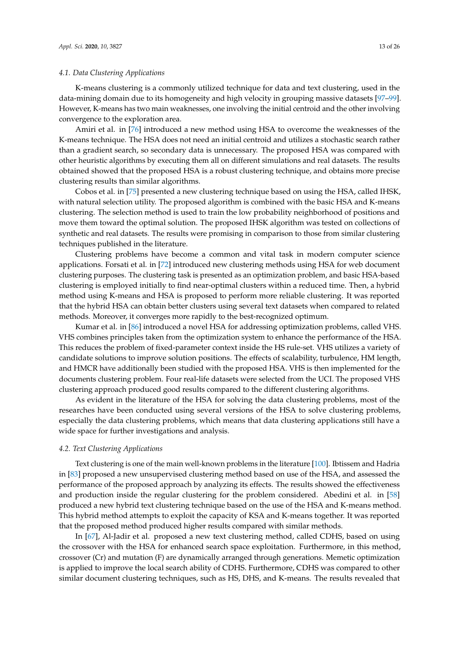#### *4.1. Data Clustering Applications*

K-means clustering is a commonly utilized technique for data and text clustering, used in the data-mining domain due to its homogeneity and high velocity in grouping massive datasets [\[97–](#page-24-18)[99\]](#page-25-0). However, K-means has two main weaknesses, one involving the initial centroid and the other involving convergence to the exploration area.

Amiri et al. in [\[76\]](#page-23-26) introduced a new method using HSA to overcome the weaknesses of the K-means technique. The HSA does not need an initial centroid and utilizes a stochastic search rather than a gradient search, so secondary data is unnecessary. The proposed HSA was compared with other heuristic algorithms by executing them all on different simulations and real datasets. The results obtained showed that the proposed HSA is a robust clustering technique, and obtains more precise clustering results than similar algorithms.

Cobos et al. in [\[75\]](#page-23-27) presented a new clustering technique based on using the HSA, called IHSK, with natural selection utility. The proposed algorithm is combined with the basic HSA and K-means clustering. The selection method is used to train the low probability neighborhood of positions and move them toward the optimal solution. The proposed IHSK algorithm was tested on collections of synthetic and real datasets. The results were promising in comparison to those from similar clustering techniques published in the literature.

Clustering problems have become a common and vital task in modern computer science applications. Forsati et al. in [\[72\]](#page-23-25) introduced new clustering methods using HSA for web document clustering purposes. The clustering task is presented as an optimization problem, and basic HSA-based clustering is employed initially to find near-optimal clusters within a reduced time. Then, a hybrid method using K-means and HSA is proposed to perform more reliable clustering. It was reported that the hybrid HSA can obtain better clusters using several text datasets when compared to related methods. Moreover, it converges more rapidly to the best-recognized optimum.

Kumar et al. in [\[86\]](#page-24-19) introduced a novel HSA for addressing optimization problems, called VHS. VHS combines principles taken from the optimization system to enhance the performance of the HSA. This reduces the problem of fixed-parameter context inside the HS rule-set. VHS utilizes a variety of candidate solutions to improve solution positions. The effects of scalability, turbulence, HM length, and HMCR have additionally been studied with the proposed HSA. VHS is then implemented for the documents clustering problem. Four real-life datasets were selected from the UCI. The proposed VHS clustering approach produced good results compared to the different clustering algorithms.

As evident in the literature of the HSA for solving the data clustering problems, most of the researches have been conducted using several versions of the HSA to solve clustering problems, especially the data clustering problems, which means that data clustering applications still have a wide space for further investigations and analysis.

## *4.2. Text Clustering Applications*

Text clustering is one of the main well-known problems in the literature [\[100\]](#page-25-1). Ibtissem and Hadria in [\[83\]](#page-24-20) proposed a new unsupervised clustering method based on use of the HSA, and assessed the performance of the proposed approach by analyzing its effects. The results showed the effectiveness and production inside the regular clustering for the problem considered. Abedini et al. in [\[58\]](#page-22-29) produced a new hybrid text clustering technique based on the use of the HSA and K-means method. This hybrid method attempts to exploit the capacity of KSA and K-means together. It was reported that the proposed method produced higher results compared with similar methods.

In [\[67\]](#page-23-28), Al-Jadir et al. proposed a new text clustering method, called CDHS, based on using the crossover with the HSA for enhanced search space exploitation. Furthermore, in this method, crossover (Cr) and mutation (F) are dynamically arranged through generations. Memetic optimization is applied to improve the local search ability of CDHS. Furthermore, CDHS was compared to other similar document clustering techniques, such as HS, DHS, and K-means. The results revealed that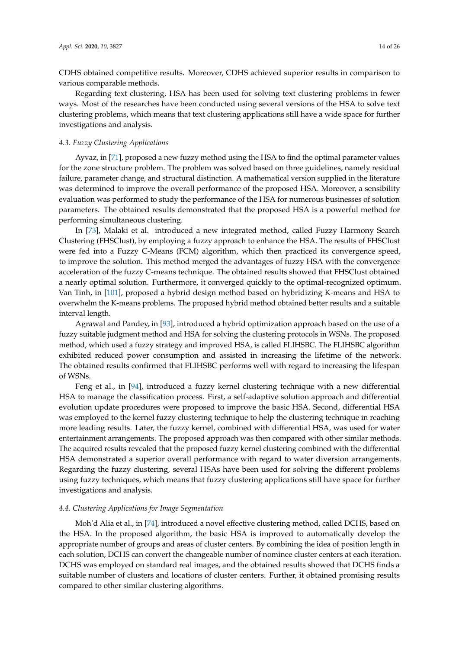CDHS obtained competitive results. Moreover, CDHS achieved superior results in comparison to various comparable methods.

Regarding text clustering, HSA has been used for solving text clustering problems in fewer ways. Most of the researches have been conducted using several versions of the HSA to solve text clustering problems, which means that text clustering applications still have a wide space for further investigations and analysis.

## *4.3. Fuzzy Clustering Applications*

Ayvaz, in [\[71\]](#page-23-29), proposed a new fuzzy method using the HSA to find the optimal parameter values for the zone structure problem. The problem was solved based on three guidelines, namely residual failure, parameter change, and structural distinction. A mathematical version supplied in the literature was determined to improve the overall performance of the proposed HSA. Moreover, a sensibility evaluation was performed to study the performance of the HSA for numerous businesses of solution parameters. The obtained results demonstrated that the proposed HSA is a powerful method for performing simultaneous clustering.

In [\[73\]](#page-23-30), Malaki et al. introduced a new integrated method, called Fuzzy Harmony Search Clustering (FHSClust), by employing a fuzzy approach to enhance the HSA. The results of FHSClust were fed into a Fuzzy C-Means (FCM) algorithm, which then practiced its convergence speed, to improve the solution. This method merged the advantages of fuzzy HSA with the convergence acceleration of the fuzzy C-means technique. The obtained results showed that FHSClust obtained a nearly optimal solution. Furthermore, it converged quickly to the optimal-recognized optimum. Van Tinh, in [\[101\]](#page-25-2), proposed a hybrid design method based on hybridizing K-means and HSA to overwhelm the K-means problems. The proposed hybrid method obtained better results and a suitable interval length.

Agrawal and Pandey, in [\[93\]](#page-24-21), introduced a hybrid optimization approach based on the use of a fuzzy suitable judgment method and HSA for solving the clustering protocols in WSNs. The proposed method, which used a fuzzy strategy and improved HSA, is called FLIHSBC. The FLIHSBC algorithm exhibited reduced power consumption and assisted in increasing the lifetime of the network. The obtained results confirmed that FLIHSBC performs well with regard to increasing the lifespan of WSNs.

Feng et al., in [\[94\]](#page-24-22), introduced a fuzzy kernel clustering technique with a new differential HSA to manage the classification process. First, a self-adaptive solution approach and differential evolution update procedures were proposed to improve the basic HSA. Second, differential HSA was employed to the kernel fuzzy clustering technique to help the clustering technique in reaching more leading results. Later, the fuzzy kernel, combined with differential HSA, was used for water entertainment arrangements. The proposed approach was then compared with other similar methods. The acquired results revealed that the proposed fuzzy kernel clustering combined with the differential HSA demonstrated a superior overall performance with regard to water diversion arrangements. Regarding the fuzzy clustering, several HSAs have been used for solving the different problems using fuzzy techniques, which means that fuzzy clustering applications still have space for further investigations and analysis.

## *4.4. Clustering Applications for Image Segmentation*

Moh'd Alia et al., in [\[74\]](#page-23-31), introduced a novel effective clustering method, called DCHS, based on the HSA. In the proposed algorithm, the basic HSA is improved to automatically develop the appropriate number of groups and areas of cluster centers. By combining the idea of position length in each solution, DCHS can convert the changeable number of nominee cluster centers at each iteration. DCHS was employed on standard real images, and the obtained results showed that DCHS finds a suitable number of clusters and locations of cluster centers. Further, it obtained promising results compared to other similar clustering algorithms.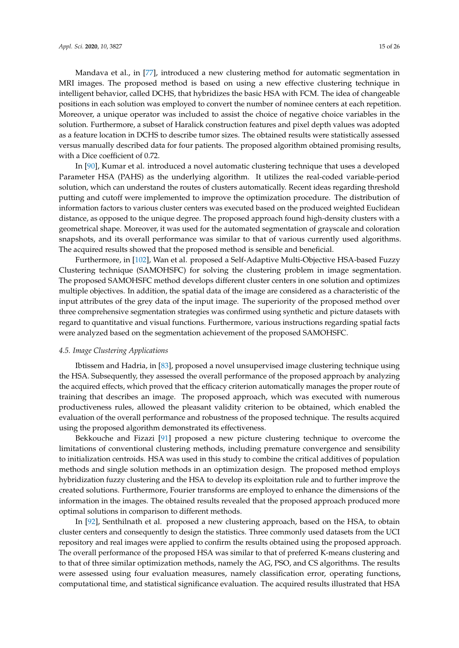Mandava et al., in [\[77\]](#page-23-32), introduced a new clustering method for automatic segmentation in MRI images. The proposed method is based on using a new effective clustering technique in intelligent behavior, called DCHS, that hybridizes the basic HSA with FCM. The idea of changeable positions in each solution was employed to convert the number of nominee centers at each repetition. Moreover, a unique operator was included to assist the choice of negative choice variables in the solution. Furthermore, a subset of Haralick construction features and pixel depth values was adopted as a feature location in DCHS to describe tumor sizes. The obtained results were statistically assessed versus manually described data for four patients. The proposed algorithm obtained promising results, with a Dice coefficient of 0.72.

In [\[90\]](#page-24-23), Kumar et al. introduced a novel automatic clustering technique that uses a developed Parameter HSA (PAHS) as the underlying algorithm. It utilizes the real-coded variable-period solution, which can understand the routes of clusters automatically. Recent ideas regarding threshold putting and cutoff were implemented to improve the optimization procedure. The distribution of information factors to various cluster centers was executed based on the produced weighted Euclidean distance, as opposed to the unique degree. The proposed approach found high-density clusters with a geometrical shape. Moreover, it was used for the automated segmentation of grayscale and coloration snapshots, and its overall performance was similar to that of various currently used algorithms. The acquired results showed that the proposed method is sensible and beneficial.

Furthermore, in [\[102\]](#page-25-3), Wan et al. proposed a Self-Adaptive Multi-Objective HSA-based Fuzzy Clustering technique (SAMOHSFC) for solving the clustering problem in image segmentation. The proposed SAMOHSFC method develops different cluster centers in one solution and optimizes multiple objectives. In addition, the spatial data of the image are considered as a characteristic of the input attributes of the grey data of the input image. The superiority of the proposed method over three comprehensive segmentation strategies was confirmed using synthetic and picture datasets with regard to quantitative and visual functions. Furthermore, various instructions regarding spatial facts were analyzed based on the segmentation achievement of the proposed SAMOHSFC.

## *4.5. Image Clustering Applications*

Ibtissem and Hadria, in [\[83\]](#page-24-20), proposed a novel unsupervised image clustering technique using the HSA. Subsequently, they assessed the overall performance of the proposed approach by analyzing the acquired effects, which proved that the efficacy criterion automatically manages the proper route of training that describes an image. The proposed approach, which was executed with numerous productiveness rules, allowed the pleasant validity criterion to be obtained, which enabled the evaluation of the overall performance and robustness of the proposed technique. The results acquired using the proposed algorithm demonstrated its effectiveness.

Bekkouche and Fizazi [\[91\]](#page-24-24) proposed a new picture clustering technique to overcome the limitations of conventional clustering methods, including premature convergence and sensibility to initialization centroids. HSA was used in this study to combine the critical additives of population methods and single solution methods in an optimization design. The proposed method employs hybridization fuzzy clustering and the HSA to develop its exploitation rule and to further improve the created solutions. Furthermore, Fourier transforms are employed to enhance the dimensions of the information in the images. The obtained results revealed that the proposed approach produced more optimal solutions in comparison to different methods.

In [\[92\]](#page-24-25), Senthilnath et al. proposed a new clustering approach, based on the HSA, to obtain cluster centers and consequently to design the statistics. Three commonly used datasets from the UCI repository and real images were applied to confirm the results obtained using the proposed approach. The overall performance of the proposed HSA was similar to that of preferred K-means clustering and to that of three similar optimization methods, namely the AG, PSO, and CS algorithms. The results were assessed using four evaluation measures, namely classification error, operating functions, computational time, and statistical significance evaluation. The acquired results illustrated that HSA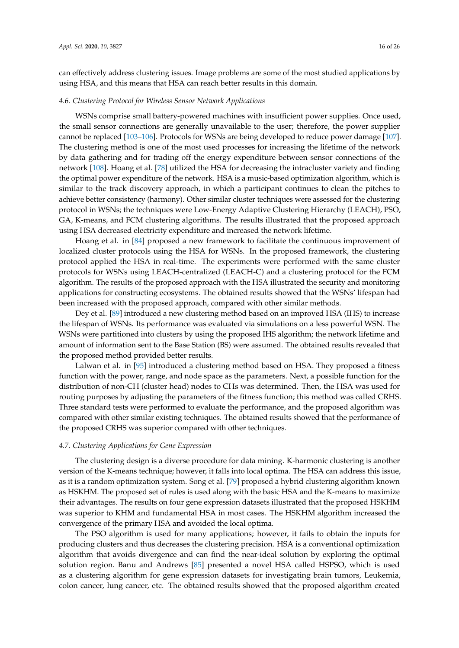can effectively address clustering issues. Image problems are some of the most studied applications by using HSA, and this means that HSA can reach better results in this domain.

#### *4.6. Clustering Protocol for Wireless Sensor Network Applications*

WSNs comprise small battery-powered machines with insufficient power supplies. Once used, the small sensor connections are generally unavailable to the user; therefore, the power supplier cannot be replaced [\[103–](#page-25-4)[106\]](#page-25-5). Protocols for WSNs are being developed to reduce power damage [\[107\]](#page-25-6). The clustering method is one of the most used processes for increasing the lifetime of the network by data gathering and for trading off the energy expenditure between sensor connections of the network [\[108\]](#page-25-7). Hoang et al. [\[78\]](#page-23-33) utilized the HSA for decreasing the intracluster variety and finding the optimal power expenditure of the network. HSA is a music-based optimization algorithm, which is similar to the track discovery approach, in which a participant continues to clean the pitches to achieve better consistency (harmony). Other similar cluster techniques were assessed for the clustering protocol in WSNs; the techniques were Low-Energy Adaptive Clustering Hierarchy (LEACH), PSO, GA, K-means, and FCM clustering algorithms. The results illustrated that the proposed approach using HSA decreased electricity expenditure and increased the network lifetime.

Hoang et al. in [\[84\]](#page-24-26) proposed a new framework to facilitate the continuous improvement of localized cluster protocols using the HSA for WSNs. In the proposed framework, the clustering protocol applied the HSA in real-time. The experiments were performed with the same cluster protocols for WSNs using LEACH-centralized (LEACH-C) and a clustering protocol for the FCM algorithm. The results of the proposed approach with the HSA illustrated the security and monitoring applications for constructing ecosystems. The obtained results showed that the WSNs' lifespan had been increased with the proposed approach, compared with other similar methods.

Dey et al. [\[89\]](#page-24-27) introduced a new clustering method based on an improved HSA (IHS) to increase the lifespan of WSNs. Its performance was evaluated via simulations on a less powerful WSN. The WSNs were partitioned into clusters by using the proposed IHS algorithm; the network lifetime and amount of information sent to the Base Station (BS) were assumed. The obtained results revealed that the proposed method provided better results.

Lalwan et al. in [\[95\]](#page-24-28) introduced a clustering method based on HSA. They proposed a fitness function with the power, range, and node space as the parameters. Next, a possible function for the distribution of non-CH (cluster head) nodes to CHs was determined. Then, the HSA was used for routing purposes by adjusting the parameters of the fitness function; this method was called CRHS. Three standard tests were performed to evaluate the performance, and the proposed algorithm was compared with other similar existing techniques. The obtained results showed that the performance of the proposed CRHS was superior compared with other techniques.

#### *4.7. Clustering Applications for Gene Expression*

The clustering design is a diverse procedure for data mining. K-harmonic clustering is another version of the K-means technique; however, it falls into local optima. The HSA can address this issue, as it is a random optimization system. Song et al. [\[79\]](#page-24-29) proposed a hybrid clustering algorithm known as HSKHM. The proposed set of rules is used along with the basic HSA and the K-means to maximize their advantages. The results on four gene expression datasets illustrated that the proposed HSKHM was superior to KHM and fundamental HSA in most cases. The HSKHM algorithm increased the convergence of the primary HSA and avoided the local optima.

The PSO algorithm is used for many applications; however, it fails to obtain the inputs for producing clusters and thus decreases the clustering precision. HSA is a conventional optimization algorithm that avoids divergence and can find the near-ideal solution by exploring the optimal solution region. Banu and Andrews [\[85\]](#page-24-30) presented a novel HSA called HSPSO, which is used as a clustering algorithm for gene expression datasets for investigating brain tumors, Leukemia, colon cancer, lung cancer, etc. The obtained results showed that the proposed algorithm created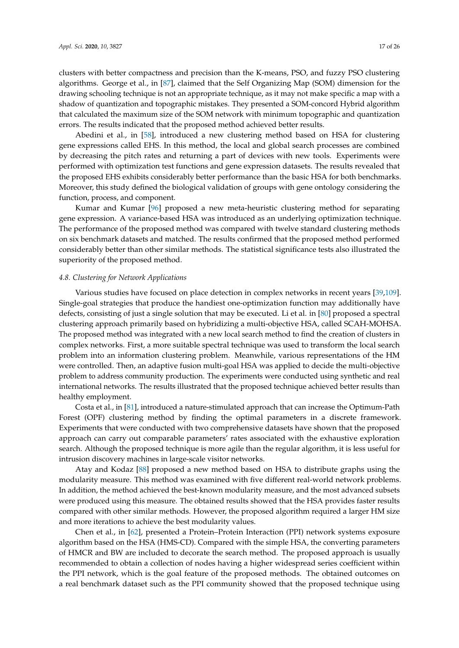clusters with better compactness and precision than the K-means, PSO, and fuzzy PSO clustering algorithms. George et al., in [\[87\]](#page-24-31), claimed that the Self Organizing Map (SOM) dimension for the drawing schooling technique is not an appropriate technique, as it may not make specific a map with a shadow of quantization and topographic mistakes. They presented a SOM-concord Hybrid algorithm that calculated the maximum size of the SOM network with minimum topographic and quantization errors. The results indicated that the proposed method achieved better results.

Abedini et al., in [\[58\]](#page-22-29), introduced a new clustering method based on HSA for clustering gene expressions called EHS. In this method, the local and global search processes are combined by decreasing the pitch rates and returning a part of devices with new tools. Experiments were performed with optimization test functions and gene expression datasets. The results revealed that the proposed EHS exhibits considerably better performance than the basic HSA for both benchmarks. Moreover, this study defined the biological validation of groups with gene ontology considering the function, process, and component.

Kumar and Kumar [\[96\]](#page-24-32) proposed a new meta-heuristic clustering method for separating gene expression. A variance-based HSA was introduced as an underlying optimization technique. The performance of the proposed method was compared with twelve standard clustering methods on six benchmark datasets and matched. The results confirmed that the proposed method performed considerably better than other similar methods. The statistical significance tests also illustrated the superiority of the proposed method.

#### *4.8. Clustering for Network Applications*

Various studies have focused on place detection in complex networks in recent years [\[39,](#page-21-20)[109\]](#page-25-8). Single-goal strategies that produce the handiest one-optimization function may additionally have defects, consisting of just a single solution that may be executed. Li et al. in [\[80\]](#page-24-33) proposed a spectral clustering approach primarily based on hybridizing a multi-objective HSA, called SCAH-MOHSA. The proposed method was integrated with a new local search method to find the creation of clusters in complex networks. First, a more suitable spectral technique was used to transform the local search problem into an information clustering problem. Meanwhile, various representations of the HM were controlled. Then, an adaptive fusion multi-goal HSA was applied to decide the multi-objective problem to address community production. The experiments were conducted using synthetic and real international networks. The results illustrated that the proposed technique achieved better results than healthy employment.

Costa et al., in [\[81\]](#page-24-34), introduced a nature-stimulated approach that can increase the Optimum-Path Forest (OPF) clustering method by finding the optimal parameters in a discrete framework. Experiments that were conducted with two comprehensive datasets have shown that the proposed approach can carry out comparable parameters' rates associated with the exhaustive exploration search. Although the proposed technique is more agile than the regular algorithm, it is less useful for intrusion discovery machines in large-scale visitor networks.

Atay and Kodaz [\[88\]](#page-24-35) proposed a new method based on HSA to distribute graphs using the modularity measure. This method was examined with five different real-world network problems. In addition, the method achieved the best-known modularity measure, and the most advanced subsets were produced using this measure. The obtained results showed that the HSA provides faster results compared with other similar methods. However, the proposed algorithm required a larger HM size and more iterations to achieve the best modularity values.

Chen et al., in [\[62\]](#page-23-34), presented a Protein–Protein Interaction (PPI) network systems exposure algorithm based on the HSA (HMS-CD). Compared with the simple HSA, the converting parameters of HMCR and BW are included to decorate the search method. The proposed approach is usually recommended to obtain a collection of nodes having a higher widespread series coefficient within the PPI network, which is the goal feature of the proposed methods. The obtained outcomes on a real benchmark dataset such as the PPI community showed that the proposed technique using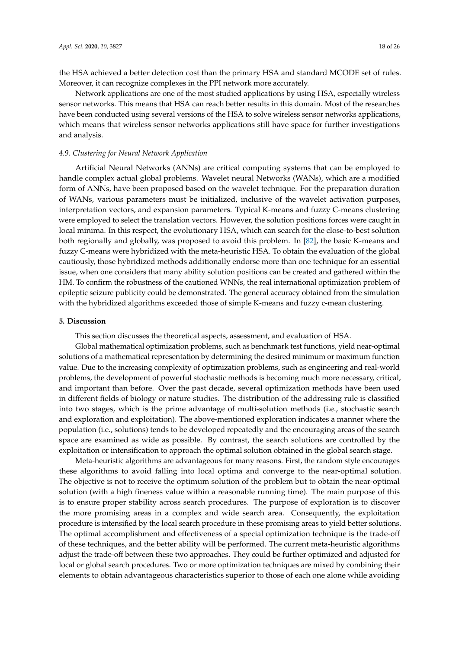the HSA achieved a better detection cost than the primary HSA and standard MCODE set of rules. Moreover, it can recognize complexes in the PPI network more accurately.

Network applications are one of the most studied applications by using HSA, especially wireless sensor networks. This means that HSA can reach better results in this domain. Most of the researches have been conducted using several versions of the HSA to solve wireless sensor networks applications, which means that wireless sensor networks applications still have space for further investigations and analysis.

## *4.9. Clustering for Neural Network Application*

Artificial Neural Networks (ANNs) are critical computing systems that can be employed to handle complex actual global problems. Wavelet neural Networks (WANs), which are a modified form of ANNs, have been proposed based on the wavelet technique. For the preparation duration of WANs, various parameters must be initialized, inclusive of the wavelet activation purposes, interpretation vectors, and expansion parameters. Typical K-means and fuzzy C-means clustering were employed to select the translation vectors. However, the solution positions forces were caught in local minima. In this respect, the evolutionary HSA, which can search for the close-to-best solution both regionally and globally, was proposed to avoid this problem. In [\[82\]](#page-24-36), the basic K-means and fuzzy C-means were hybridized with the meta-heuristic HSA. To obtain the evaluation of the global cautiously, those hybridized methods additionally endorse more than one technique for an essential issue, when one considers that many ability solution positions can be created and gathered within the HM. To confirm the robustness of the cautioned WNNs, the real international optimization problem of epileptic seizure publicity could be demonstrated. The general accuracy obtained from the simulation with the hybridized algorithms exceeded those of simple K-means and fuzzy c-mean clustering.

#### <span id="page-17-0"></span>**5. Discussion**

This section discusses the theoretical aspects, assessment, and evaluation of HSA.

Global mathematical optimization problems, such as benchmark test functions, yield near-optimal solutions of a mathematical representation by determining the desired minimum or maximum function value. Due to the increasing complexity of optimization problems, such as engineering and real-world problems, the development of powerful stochastic methods is becoming much more necessary, critical, and important than before. Over the past decade, several optimization methods have been used in different fields of biology or nature studies. The distribution of the addressing rule is classified into two stages, which is the prime advantage of multi-solution methods (i.e., stochastic search and exploration and exploitation). The above-mentioned exploration indicates a manner where the population (i.e., solutions) tends to be developed repeatedly and the encouraging areas of the search space are examined as wide as possible. By contrast, the search solutions are controlled by the exploitation or intensification to approach the optimal solution obtained in the global search stage.

Meta-heuristic algorithms are advantageous for many reasons. First, the random style encourages these algorithms to avoid falling into local optima and converge to the near-optimal solution. The objective is not to receive the optimum solution of the problem but to obtain the near-optimal solution (with a high fineness value within a reasonable running time). The main purpose of this is to ensure proper stability across search procedures. The purpose of exploration is to discover the more promising areas in a complex and wide search area. Consequently, the exploitation procedure is intensified by the local search procedure in these promising areas to yield better solutions. The optimal accomplishment and effectiveness of a special optimization technique is the trade-off of these techniques, and the better ability will be performed. The current meta-heuristic algorithms adjust the trade-off between these two approaches. They could be further optimized and adjusted for local or global search procedures. Two or more optimization techniques are mixed by combining their elements to obtain advantageous characteristics superior to those of each one alone while avoiding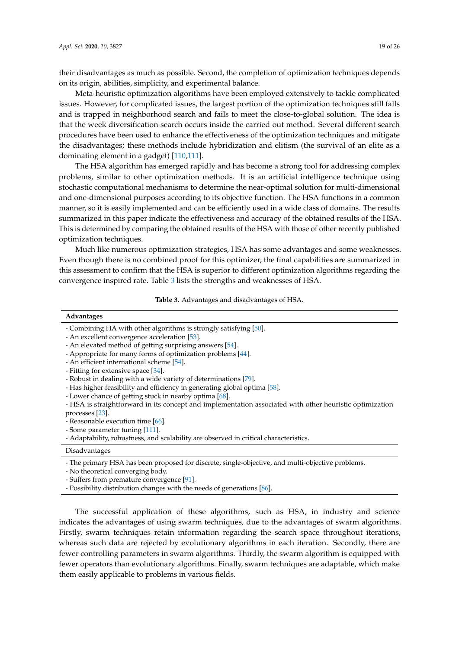their disadvantages as much as possible. Second, the completion of optimization techniques depends on its origin, abilities, simplicity, and experimental balance.

Meta-heuristic optimization algorithms have been employed extensively to tackle complicated issues. However, for complicated issues, the largest portion of the optimization techniques still falls and is trapped in neighborhood search and fails to meet the close-to-global solution. The idea is that the week diversification search occurs inside the carried out method. Several different search procedures have been used to enhance the effectiveness of the optimization techniques and mitigate the disadvantages; these methods include hybridization and elitism (the survival of an elite as a dominating element in a gadget) [\[110](#page-25-9)[,111\]](#page-25-10).

The HSA algorithm has emerged rapidly and has become a strong tool for addressing complex problems, similar to other optimization methods. It is an artificial intelligence technique using stochastic computational mechanisms to determine the near-optimal solution for multi-dimensional and one-dimensional purposes according to its objective function. The HSA functions in a common manner, so it is easily implemented and can be efficiently used in a wide class of domains. The results summarized in this paper indicate the effectiveness and accuracy of the obtained results of the HSA. This is determined by comparing the obtained results of the HSA with those of other recently published optimization techniques.

Much like numerous optimization strategies, HSA has some advantages and some weaknesses. Even though there is no combined proof for this optimizer, the final capabilities are summarized in this assessment to confirm that the HSA is superior to different optimization algorithms regarding the convergence inspired rate. Table [3](#page-18-0) lists the strengths and weaknesses of HSA.

**Table 3.** Advantages and disadvantages of HSA.

#### <span id="page-18-0"></span>**Advantages**

- Combining HA with other algorithms is strongly satisfying [\[50\]](#page-22-25).
- An excellent convergence acceleration [\[53\]](#page-22-22).
- An elevated method of getting surprising answers [\[54\]](#page-22-20).
- Appropriate for many forms of optimization problems [\[44\]](#page-22-3).
- An efficient international scheme [\[54\]](#page-22-20).
- Fitting for extensive space [\[34\]](#page-21-15).
- Robust in dealing with a wide variety of determinations [\[79\]](#page-24-29).
- Has higher feasibility and efficiency in generating global optima [\[58\]](#page-22-29).
- Lower chance of getting stuck in nearby optima [\[68\]](#page-23-16).
- HSA is straightforward in its concept and implementation associated with other heuristic optimization processes [\[23\]](#page-21-4).
- Reasonable execution time [\[66\]](#page-23-15).
- Some parameter tuning [\[111\]](#page-25-10).
- Adaptability, robustness, and scalability are observed in critical characteristics.

#### Disadvantages

- The primary HSA has been proposed for discrete, single-objective, and multi-objective problems.

- No theoretical converging body.

- Suffers from premature convergence [\[91\]](#page-24-24).

- Possibility distribution changes with the needs of generations [\[86\]](#page-24-19).

The successful application of these algorithms, such as HSA, in industry and science indicates the advantages of using swarm techniques, due to the advantages of swarm algorithms. Firstly, swarm techniques retain information regarding the search space throughout iterations, whereas such data are rejected by evolutionary algorithms in each iteration. Secondly, there are fewer controlling parameters in swarm algorithms. Thirdly, the swarm algorithm is equipped with fewer operators than evolutionary algorithms. Finally, swarm techniques are adaptable, which make them easily applicable to problems in various fields.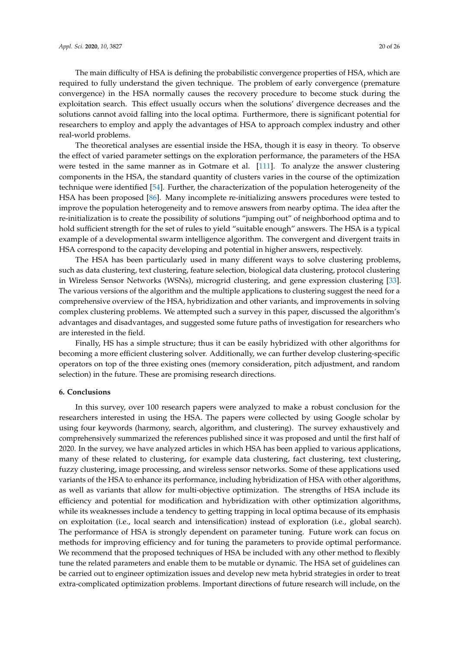The main difficulty of HSA is defining the probabilistic convergence properties of HSA, which are required to fully understand the given technique. The problem of early convergence (premature convergence) in the HSA normally causes the recovery procedure to become stuck during the exploitation search. This effect usually occurs when the solutions' divergence decreases and the solutions cannot avoid falling into the local optima. Furthermore, there is significant potential for researchers to employ and apply the advantages of HSA to approach complex industry and other real-world problems.

The theoretical analyses are essential inside the HSA, though it is easy in theory. To observe the effect of varied parameter settings on the exploration performance, the parameters of the HSA were tested in the same manner as in Gotmare et al. [\[111\]](#page-25-10). To analyze the answer clustering components in the HSA, the standard quantity of clusters varies in the course of the optimization technique were identified [\[54\]](#page-22-20). Further, the characterization of the population heterogeneity of the HSA has been proposed [\[86\]](#page-24-19). Many incomplete re-initializing answers procedures were tested to improve the population heterogeneity and to remove answers from nearby optima. The idea after the re-initialization is to create the possibility of solutions "jumping out" of neighborhood optima and to hold sufficient strength for the set of rules to yield "suitable enough" answers. The HSA is a typical example of a developmental swarm intelligence algorithm. The convergent and divergent traits in HSA correspond to the capacity developing and potential in higher answers, respectively.

The HSA has been particularly used in many different ways to solve clustering problems, such as data clustering, text clustering, feature selection, biological data clustering, protocol clustering in Wireless Sensor Networks (WSNs), microgrid clustering, and gene expression clustering [\[33\]](#page-21-14). The various versions of the algorithm and the multiple applications to clustering suggest the need for a comprehensive overview of the HSA, hybridization and other variants, and improvements in solving complex clustering problems. We attempted such a survey in this paper, discussed the algorithm's advantages and disadvantages, and suggested some future paths of investigation for researchers who are interested in the field.

Finally, HS has a simple structure; thus it can be easily hybridized with other algorithms for becoming a more efficient clustering solver. Additionally, we can further develop clustering-specific operators on top of the three existing ones (memory consideration, pitch adjustment, and random selection) in the future. These are promising research directions.

#### <span id="page-19-0"></span>**6. Conclusions**

In this survey, over 100 research papers were analyzed to make a robust conclusion for the researchers interested in using the HSA. The papers were collected by using Google scholar by using four keywords (harmony, search, algorithm, and clustering). The survey exhaustively and comprehensively summarized the references published since it was proposed and until the first half of 2020. In the survey, we have analyzed articles in which HSA has been applied to various applications, many of these related to clustering, for example data clustering, fact clustering, text clustering, fuzzy clustering, image processing, and wireless sensor networks. Some of these applications used variants of the HSA to enhance its performance, including hybridization of HSA with other algorithms, as well as variants that allow for multi-objective optimization. The strengths of HSA include its efficiency and potential for modification and hybridization with other optimization algorithms, while its weaknesses include a tendency to getting trapping in local optima because of its emphasis on exploitation (i.e., local search and intensification) instead of exploration (i.e., global search). The performance of HSA is strongly dependent on parameter tuning. Future work can focus on methods for improving efficiency and for tuning the parameters to provide optimal performance. We recommend that the proposed techniques of HSA be included with any other method to flexibly tune the related parameters and enable them to be mutable or dynamic. The HSA set of guidelines can be carried out to engineer optimization issues and develop new meta hybrid strategies in order to treat extra-complicated optimization problems. Important directions of future research will include, on the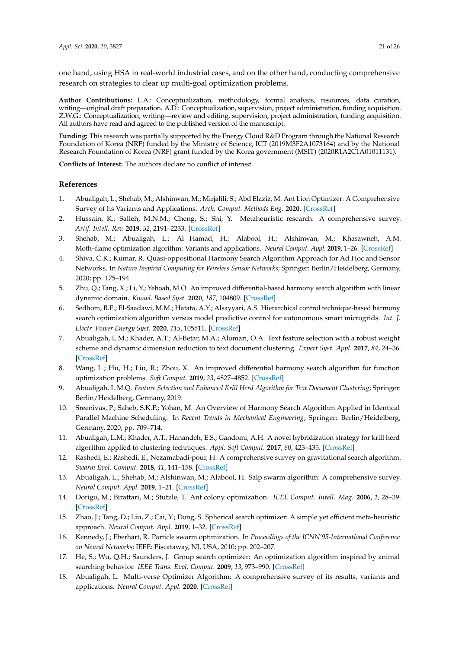one hand, using HSA in real-world industrial cases, and on the other hand, conducting comprehensive research on strategies to clear up multi-goal optimization problems.

**Author Contributions:** L.A.: Conceptualization, methodology, formal analysis, resources, data curation, writing—original draft preparation. A.D.: Conceptualization, supervision, project administration, funding acquisition. Z.W.G.: Conceptualization, writing—review and editing, supervision, project administration, funding acquisition. All authors have read and agreed to the published version of the manuscript.

**Funding:** This research was partially supported by the Energy Cloud R&D Program through the National Research Foundation of Korea (NRF) funded by the Ministry of Science, ICT (2019M3F2A1073164) and by the National Research Foundation of Korea (NRF) grant funded by the Korea government (MSIT) (2020R1A2C1A01011131).

**Conflicts of Interest:** The authors declare no conflict of interest.

## **References**

- <span id="page-20-0"></span>1. Abualigah, L.; Shehab, M.; Alshinwan, M.; Mirjalili, S.; Abd Elaziz, M. Ant Lion Optimizer: A Comprehensive Survey of Its Variants and Applications. *Arch. Comput. Methods Eng.* **2020**. [\[CrossRef\]](http://dx.doi.org/10.1007/s11831-020-09420-6)
- <span id="page-20-1"></span>2. Hussain, K.; Salleh, M.N.M.; Cheng, S.; Shi, Y. Metaheuristic research: A comprehensive survey. *Artif. Intell. Rev.* **2019**, *52*, 2191–2233. [\[CrossRef\]](http://dx.doi.org/10.1007/s10462-017-9605-z)
- <span id="page-20-2"></span>3. Shehab, M.; Abualigah, L.; Al Hamad, H.; Alabool, H.; Alshinwan, M.; Khasawneh, A.M. Moth–flame optimization algorithm: Variants and applications. *Neural Comput. Appl.* **2019**, 1–26. [\[CrossRef\]](http://dx.doi.org/10.1007/s00521-019-04570-6)
- <span id="page-20-3"></span>4. Shiva, C.K.; Kumar, R. Quasi-oppositional Harmony Search Algorithm Approach for Ad Hoc and Sensor Networks. In *Nature Inspired Computing for Wireless Sensor Networks*; Springer: Berlin/Heidelberg, Germany, 2020; pp. 175–194.
- <span id="page-20-4"></span>5. Zhu, Q.; Tang, X.; Li, Y.; Yeboah, M.O. An improved differential-based harmony search algorithm with linear dynamic domain. *Knowl. Based Syst.* **2020**, *187*, 104809. [\[CrossRef\]](http://dx.doi.org/10.1016/j.knosys.2019.06.017)
- <span id="page-20-5"></span>6. Sedhom, B.E.; El-Saadawi, M.M.; Hatata, A.Y.; Alsayyari, A.S. Hierarchical control technique-based harmony search optimization algorithm versus model predictive control for autonomous smart microgrids. *Int. J. Electr. Power Energy Syst.* **2020**, *115*, 105511. [\[CrossRef\]](http://dx.doi.org/10.1016/j.ijepes.2019.105511)
- <span id="page-20-6"></span>7. Abualigah, L.M.; Khader, A.T.; Al-Betar, M.A.; Alomari, O.A. Text feature selection with a robust weight scheme and dynamic dimension reduction to text document clustering. *Expert Syst. Appl.* **2017**, *84*, 24–36. [\[CrossRef\]](http://dx.doi.org/10.1016/j.eswa.2017.05.002)
- <span id="page-20-7"></span>8. Wang, L.; Hu, H.; Liu, R.; Zhou, X. An improved differential harmony search algorithm for function optimization problems. *Soft Comput.* **2019**, *23*, 4827–4852. [\[CrossRef\]](http://dx.doi.org/10.1007/s00500-018-3139-4)
- <span id="page-20-8"></span>9. Abualigah, L.M.Q. *Feature Selection and Enhanced Krill Herd Algorithm for Text Document Clustering*; Springer: Berlin/Heidelberg, Germany, 2019.
- <span id="page-20-9"></span>10. Sreenivas, P.; Saheb, S.K.P.; Yohan, M. An Overview of Harmony Search Algorithm Applied in Identical Parallel Machine Scheduling. In *Recent Trends in Mechanical Engineering*; Springer: Berlin/Heidelberg, Germany, 2020; pp. 709–714.
- <span id="page-20-10"></span>11. Abualigah, L.M.; Khader, A.T.; Hanandeh, E.S.; Gandomi, A.H. A novel hybridization strategy for krill herd algorithm applied to clustering techniques. *Appl. Soft Comput.* **2017**, *60*, 423–435. [\[CrossRef\]](http://dx.doi.org/10.1016/j.asoc.2017.06.059)
- <span id="page-20-11"></span>12. Rashedi, E.; Rashedi, E.; Nezamabadi-pour, H. A comprehensive survey on gravitational search algorithm. *Swarm Evol. Comput.* **2018**, *41*, 141–158. [\[CrossRef\]](http://dx.doi.org/10.1016/j.swevo.2018.02.018)
- <span id="page-20-12"></span>13. Abualigah, L.; Shehab, M.; Alshinwan, M.; Alabool, H. Salp swarm algorithm: A comprehensive survey. *Neural Comput. Appl.* **2019**, 1–21. [\[CrossRef\]](http://dx.doi.org/10.1007/s00521-019-04629-4)
- <span id="page-20-13"></span>14. Dorigo, M.; Birattari, M.; Stutzle, T. Ant colony optimization. *IEEE Comput. Intell. Mag.* **2006**, *1*, 28–39. [\[CrossRef\]](http://dx.doi.org/10.1109/MCI.2006.329691)
- <span id="page-20-14"></span>15. Zhao, J.; Tang, D.; Liu, Z.; Cai, Y.; Dong, S. Spherical search optimizer: A simple yet efficient meta-heuristic approach. *Neural Comput. Appl.* **2019**, 1–32. [\[CrossRef\]](http://dx.doi.org/10.1007/s00521-019-04510-4)
- <span id="page-20-15"></span>16. Kennedy, J.; Eberhart, R. Particle swarm optimization. In *Proceedings of the ICNN'95-International Conference on Neural Networks*; IEEE: Piscataway, NJ, USA, 2010; pp. 202–207.
- <span id="page-20-16"></span>17. He, S.; Wu, Q.H.; Saunders, J. Group search optimizer: An optimization algorithm inspired by animal searching behavior. *IEEE Trans. Evol. Comput.* **2009**, *13*, 973–990. [\[CrossRef\]](http://dx.doi.org/10.1109/TEVC.2009.2011992)
- <span id="page-20-17"></span>18. Abualigah, L. Multi-verse Optimizer Algorithm: A comprehensive survey of its results, variants and applications. *Neural Comput. Appl.* **2020**. [\[CrossRef\]](http://dx.doi.org/10.1007/s00521-020-04839-1)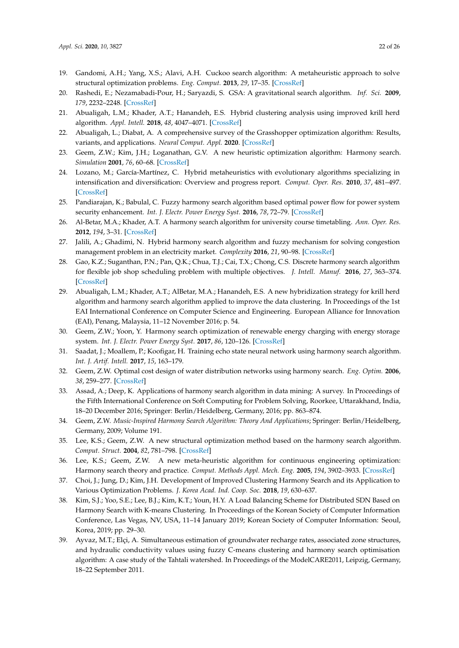- <span id="page-21-0"></span>19. Gandomi, A.H.; Yang, X.S.; Alavi, A.H. Cuckoo search algorithm: A metaheuristic approach to solve structural optimization problems. *Eng. Comput.* **2013**, *29*, 17–35. [\[CrossRef\]](http://dx.doi.org/10.1007/s00366-011-0241-y)
- <span id="page-21-19"></span><span id="page-21-1"></span>20. Rashedi, E.; Nezamabadi-Pour, H.; Saryazdi, S. GSA: A gravitational search algorithm. *Inf. Sci.* **2009**, *179*, 2232–2248. [\[CrossRef\]](http://dx.doi.org/10.1016/j.ins.2009.03.004)
- <span id="page-21-2"></span>21. Abualigah, L.M.; Khader, A.T.; Hanandeh, E.S. Hybrid clustering analysis using improved krill herd algorithm. *Appl. Intell.* **2018**, *48*, 4047–4071. [\[CrossRef\]](http://dx.doi.org/10.1007/s10489-018-1190-6)
- <span id="page-21-3"></span>22. Abualigah, L.; Diabat, A. A comprehensive survey of the Grasshopper optimization algorithm: Results, variants, and applications. *Neural Comput. Appl.* **2020**. [\[CrossRef\]](http://dx.doi.org/10.1007/s00521-020-04839-1)
- <span id="page-21-4"></span>23. Geem, Z.W.; Kim, J.H.; Loganathan, G.V. A new heuristic optimization algorithm: Harmony search. *Simulation* **2001**, *76*, 60–68. [\[CrossRef\]](http://dx.doi.org/10.1177/003754970107600201)
- <span id="page-21-5"></span>24. Lozano, M.; García-Martínez, C. Hybrid metaheuristics with evolutionary algorithms specializing in intensification and diversification: Overview and progress report. *Comput. Oper. Res.* **2010**, *37*, 481–497. [\[CrossRef\]](http://dx.doi.org/10.1016/j.cor.2009.02.010)
- <span id="page-21-6"></span>25. Pandiarajan, K.; Babulal, C. Fuzzy harmony search algorithm based optimal power flow for power system security enhancement. *Int. J. Electr. Power Energy Syst.* **2016**, *78*, 72–79. [\[CrossRef\]](http://dx.doi.org/10.1016/j.ijepes.2015.11.053)
- <span id="page-21-7"></span>26. Al-Betar, M.A.; Khader, A.T. A harmony search algorithm for university course timetabling. *Ann. Oper. Res.* **2012**, *194*, 3–31. [\[CrossRef\]](http://dx.doi.org/10.1007/s10479-010-0769-z)
- <span id="page-21-8"></span>27. Jalili, A.; Ghadimi, N. Hybrid harmony search algorithm and fuzzy mechanism for solving congestion management problem in an electricity market. *Complexity* **2016**, *21*, 90–98. [\[CrossRef\]](http://dx.doi.org/10.1002/cplx.21713)
- <span id="page-21-9"></span>28. Gao, K.Z.; Suganthan, P.N.; Pan, Q.K.; Chua, T.J.; Cai, T.X.; Chong, C.S. Discrete harmony search algorithm for flexible job shop scheduling problem with multiple objectives. *J. Intell. Manuf.* **2016**, *27*, 363–374. [\[CrossRef\]](http://dx.doi.org/10.1007/s10845-014-0869-8)
- <span id="page-21-10"></span>29. Abualigah, L.M.; Khader, A.T.; AlBetar, M.A.; Hanandeh, E.S. A new hybridization strategy for krill herd algorithm and harmony search algorithm applied to improve the data clustering. In Proceedings of the 1st EAI International Conference on Computer Science and Engineering. European Alliance for Innovation (EAI), Penang, Malaysia, 11–12 November 2016; p. 54.
- <span id="page-21-11"></span>30. Geem, Z.W.; Yoon, Y. Harmony search optimization of renewable energy charging with energy storage system. *Int. J. Electr. Power Energy Syst.* **2017**, *86*, 120–126. [\[CrossRef\]](http://dx.doi.org/10.1016/j.ijepes.2016.04.028)
- <span id="page-21-12"></span>31. Saadat, J.; Moallem, P.; Koofigar, H. Training echo state neural network using harmony search algorithm. *Int. J. Artif. Intell.* **2017**, *15*, 163–179.
- <span id="page-21-13"></span>32. Geem, Z.W. Optimal cost design of water distribution networks using harmony search. *Eng. Optim.* **2006**, *38*, 259–277. [\[CrossRef\]](http://dx.doi.org/10.1080/03052150500467430)
- <span id="page-21-14"></span>33. Assad, A.; Deep, K. Applications of harmony search algorithm in data mining: A survey. In Proceedings of the Fifth International Conference on Soft Computing for Problem Solving, Roorkee, Uttarakhand, India, 18–20 December 2016; Springer: Berlin/Heidelberg, Germany, 2016; pp. 863–874.
- <span id="page-21-15"></span>34. Geem, Z.W. *Music-Inspired Harmony Search Algorithm: Theory And Applications*; Springer: Berlin/Heidelberg, Germany, 2009; Volume 191.
- <span id="page-21-16"></span>35. Lee, K.S.; Geem, Z.W. A new structural optimization method based on the harmony search algorithm. *Comput. Struct.* **2004**, *82*, 781–798. [\[CrossRef\]](http://dx.doi.org/10.1016/j.compstruc.2004.01.002)
- <span id="page-21-17"></span>36. Lee, K.S.; Geem, Z.W. A new meta-heuristic algorithm for continuous engineering optimization: Harmony search theory and practice. *Comput. Methods Appl. Mech. Eng.* **2005**, *194*, 3902–3933. [\[CrossRef\]](http://dx.doi.org/10.1016/j.cma.2004.09.007)
- <span id="page-21-18"></span>37. Choi, J.; Jung, D.; Kim, J.H. Development of Improved Clustering Harmony Search and its Application to Various Optimization Problems. *J. Korea Acad. Ind. Coop. Soc.* **2018**, *19*, 630–637.
- 38. Kim, S.J.; Yoo, S.E.; Lee, B.J.; Kim, K.T.; Youn, H.Y. A Load Balancing Scheme for Distributed SDN Based on Harmony Search with K-means Clustering. In Proceedings of the Korean Society of Computer Information Conference, Las Vegas, NV, USA, 11–14 January 2019; Korean Society of Computer Information: Seoul, Korea, 2019; pp. 29–30.
- <span id="page-21-20"></span>39. Ayvaz, M.T.; Elçi, A. Simultaneous estimation of groundwater recharge rates, associated zone structures, and hydraulic conductivity values using fuzzy C-means clustering and harmony search optimisation algorithm: A case study of the Tahtali watershed. In Proceedings of the ModelCARE2011, Leipzig, Germany, 18–22 September 2011.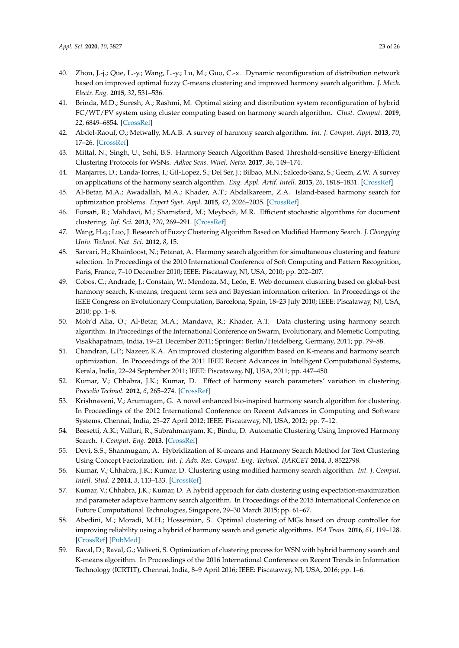- <span id="page-22-8"></span><span id="page-22-7"></span>40. Zhou, J.-j.; Que, L.-y.; Wang, L.-y.; Lu, M.; Guo, C.-x. Dynamic reconfiguration of distribution network based on improved optimal fuzzy C-means clustering and improved harmony search algorithm. *J. Mech. Electr. Eng.* **2015**, *32*, 531–536.
- <span id="page-22-0"></span>41. Brinda, M.D.; Suresh, A.; Rashmi, M. Optimal sizing and distribution system reconfiguration of hybrid FC/WT/PV system using cluster computing based on harmony search algorithm. *Clust. Comput.* **2019**, *22*, 6849–6854. [\[CrossRef\]](http://dx.doi.org/10.1007/s10586-017-1605-x)
- <span id="page-22-9"></span><span id="page-22-1"></span>42. Abdel-Raouf, O.; Metwally, M.A.B. A survey of harmony search algorithm. *Int. J. Comput. Appl.* **2013**, *70*, 17–26. [\[CrossRef\]](http://dx.doi.org/10.5120/12255-8261)
- <span id="page-22-10"></span><span id="page-22-2"></span>43. Mittal, N.; Singh, U.; Sohi, B.S. Harmony Search Algorithm Based Threshold-sensitive Energy-Efficient Clustering Protocols for WSNs. *Adhoc Sens. Wirel. Netw.* **2017**, *36*, 149–174.
- <span id="page-22-3"></span>44. Manjarres, D.; Landa-Torres, I.; Gil-Lopez, S.; Del Ser, J.; Bilbao, M.N.; Salcedo-Sanz, S.; Geem, Z.W. A survey on applications of the harmony search algorithm. *Eng. Appl. Artif. Intell.* **2013**, *26*, 1818–1831. [\[CrossRef\]](http://dx.doi.org/10.1016/j.engappai.2013.05.008)
- <span id="page-22-11"></span><span id="page-22-4"></span>45. Al-Betar, M.A.; Awadallah, M.A.; Khader, A.T.; Abdalkareem, Z.A. Island-based harmony search for optimization problems. *Expert Syst. Appl.* **2015**, *42*, 2026–2035. [\[CrossRef\]](http://dx.doi.org/10.1016/j.eswa.2014.10.008)
- <span id="page-22-12"></span><span id="page-22-5"></span>46. Forsati, R.; Mahdavi, M.; Shamsfard, M.; Meybodi, M.R. Efficient stochastic algorithms for document clustering. *Inf. Sci.* **2013**, *220*, 269–291. [\[CrossRef\]](http://dx.doi.org/10.1016/j.ins.2012.07.025)
- <span id="page-22-13"></span><span id="page-22-6"></span>47. Wang, H.q.; Luo, J. Research of Fuzzy Clustering Algorithm Based on Modified Harmony Search. *J. Chongqing Univ. Technol. Nat. Sci.* **2012**, *8*, 15.
- <span id="page-22-21"></span><span id="page-22-14"></span>48. Sarvari, H.; Khairdoost, N.; Fetanat, A. Harmony search algorithm for simultaneous clustering and feature selection. In Proceedings of the 2010 International Conference of Soft Computing and Pattern Recognition, Paris, France, 7–10 December 2010; IEEE: Piscataway, NJ, USA, 2010; pp. 202–207.
- <span id="page-22-16"></span><span id="page-22-15"></span>49. Cobos, C.; Andrade, J.; Constain, W.; Mendoza, M.; León, E. Web document clustering based on global-best harmony search, K-means, frequent term sets and Bayesian information criterion. In Proceedings of the IEEE Congress on Evolutionary Computation, Barcelona, Spain, 18–23 July 2010; IEEE: Piscataway, NJ, USA, 2010; pp. 1–8.
- <span id="page-22-25"></span><span id="page-22-17"></span>50. Moh'd Alia, O.; Al-Betar, M.A.; Mandava, R.; Khader, A.T. Data clustering using harmony search algorithm. In Proceedings of the International Conference on Swarm, Evolutionary, and Memetic Computing, Visakhapatnam, India, 19–21 December 2011; Springer: Berlin/Heidelberg, Germany, 2011; pp. 79–88.
- <span id="page-22-26"></span><span id="page-22-18"></span>51. Chandran, L.P.; Nazeer, K.A. An improved clustering algorithm based on K-means and harmony search optimization. In Proceedings of the 2011 IEEE Recent Advances in Intelligent Computational Systems, Kerala, India, 22–24 September 2011; IEEE: Piscataway, NJ, USA, 2011; pp. 447–450.
- <span id="page-22-19"></span>52. Kumar, V.; Chhabra, J.K.; Kumar, D. Effect of harmony search parameters' variation in clustering. *Procedia Technol.* **2012**, *6*, 265–274. [\[CrossRef\]](http://dx.doi.org/10.1016/j.protcy.2012.10.032)
- <span id="page-22-22"></span>53. Krishnaveni, V.; Arumugam, G. A novel enhanced bio-inspired harmony search algorithm for clustering. In Proceedings of the 2012 International Conference on Recent Advances in Computing and Software Systems, Chennai, India, 25–27 April 2012; IEEE: Piscataway, NJ, USA, 2012; pp. 7–12.
- <span id="page-22-20"></span>54. Beesetti, A.K.; Valluri, R.; Subrahmanyam, K.; Bindu, D. Automatic Clustering Using Improved Harmony Search. *J. Comput. Eng.* **2013**. [\[CrossRef\]](http://dx.doi.org/10.9790/0661-0956568)
- <span id="page-22-27"></span>55. Devi, S.S.; Shanmugam, A. Hybridization of K-means and Harmony Search Method for Text Clustering Using Concept Factorization. *Int. J. Adv. Res. Comput. Eng. Technol. IJARCET* **2014**, *3*, 8522798.
- <span id="page-22-23"></span>56. Kumar, V.; Chhabra, J.K.; Kumar, D. Clustering using modified harmony search algorithm. *Int. J. Comput. Intell. Stud. 2* **2014**, *3*, 113–133. [\[CrossRef\]](http://dx.doi.org/10.1504/IJCISTUDIES.2014.062726)
- <span id="page-22-28"></span>57. Kumar, V.; Chhabra, J.K.; Kumar, D. A hybrid approach for data clustering using expectation-maximization and parameter adaptive harmony search algorithm. In Proceedings of the 2015 International Conference on Future Computational Technologies, Singapore, 29–30 March 2015; pp. 61–67.
- <span id="page-22-29"></span>58. Abedini, M.; Moradi, M.H.; Hosseinian, S. Optimal clustering of MGs based on droop controller for improving reliability using a hybrid of harmony search and genetic algorithms. *ISA Trans.* **2016**, *61*, 119–128. [\[CrossRef\]](http://dx.doi.org/10.1016/j.isatra.2015.12.012) [\[PubMed\]](http://www.ncbi.nlm.nih.gov/pubmed/26767800)
- <span id="page-22-24"></span>59. Raval, D.; Raval, G.; Valiveti, S. Optimization of clustering process for WSN with hybrid harmony search and K-means algorithm. In Proceedings of the 2016 International Conference on Recent Trends in Information Technology (ICRTIT), Chennai, India, 8–9 April 2016; IEEE: Piscataway, NJ, USA, 2016; pp. 1–6.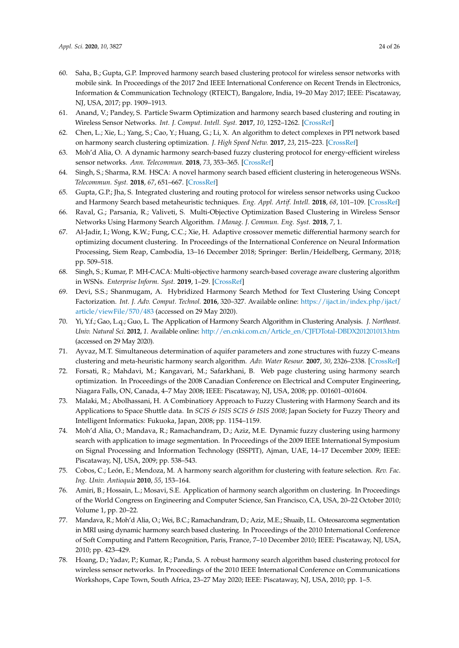- <span id="page-23-10"></span><span id="page-23-8"></span><span id="page-23-7"></span><span id="page-23-6"></span><span id="page-23-5"></span><span id="page-23-4"></span><span id="page-23-3"></span><span id="page-23-2"></span><span id="page-23-1"></span><span id="page-23-0"></span>60. Saha, B.; Gupta, G.P. Improved harmony search based clustering protocol for wireless sensor networks with mobile sink. In Proceedings of the 2017 2nd IEEE International Conference on Recent Trends in Electronics, Information & Communication Technology (RTEICT), Bangalore, India, 19–20 May 2017; IEEE: Piscataway, NJ, USA, 2017; pp. 1909–1913.
- <span id="page-23-11"></span>61. Anand, V.; Pandey, S. Particle Swarm Optimization and harmony search based clustering and routing in Wireless Sensor Networks. *Int. J. Comput. Intell. Syst.* **2017**, *10*, 1252–1262. [\[CrossRef\]](http://dx.doi.org/10.2991/ijcis.10.1.84)
- <span id="page-23-34"></span>62. Chen, L.; Xie, L.; Yang, S.; Cao, Y.; Huang, G.; Li, X. An algorithm to detect complexes in PPI network based on harmony search clustering optimization. *J. High Speed Netw.* **2017**, *23*, 215–223. [\[CrossRef\]](http://dx.doi.org/10.3233/JHS-170567)
- <span id="page-23-18"></span><span id="page-23-12"></span>63. Moh'd Alia, O. A dynamic harmony search-based fuzzy clustering protocol for energy-efficient wireless sensor networks. *Ann. Telecommun.* **2018**, *73*, 353–365. [\[CrossRef\]](http://dx.doi.org/10.1007/s12243-017-0611-6)
- <span id="page-23-19"></span><span id="page-23-9"></span>64. Singh, S.; Sharma, R.M. HSCA: A novel harmony search based efficient clustering in heterogeneous WSNs. *Telecommun. Syst.* **2018**, *67*, 651–667. [\[CrossRef\]](http://dx.doi.org/10.1007/s11235-017-0365-5)
- <span id="page-23-14"></span>65. Gupta, G.P.; Jha, S. Integrated clustering and routing protocol for wireless sensor networks using Cuckoo and Harmony Search based metaheuristic techniques. *Eng. Appl. Artif. Intell.* **2018**, *68*, 101–109. [\[CrossRef\]](http://dx.doi.org/10.1016/j.engappai.2017.11.003)
- <span id="page-23-20"></span><span id="page-23-15"></span>66. Raval, G.; Parsania, R.; Valiveti, S. Multi-Objective Optimization Based Clustering in Wireless Sensor Networks Using Harmony Search Algorithm. *I Manag. J. Commun. Eng. Syst.* **2018**, *7*, 1.
- <span id="page-23-28"></span><span id="page-23-21"></span>67. Al-Jadir, I.; Wong, K.W.; Fung, C.C.; Xie, H. Adaptive crossover memetic differential harmony search for optimizing document clustering. In Proceedings of the International Conference on Neural Information Processing, Siem Reap, Cambodia, 13–16 December 2018; Springer: Berlin/Heidelberg, Germany, 2018; pp. 509–518.
- <span id="page-23-22"></span><span id="page-23-16"></span>68. Singh, S.; Kumar, P. MH-CACA: Multi-objective harmony search-based coverage aware clustering algorithm in WSNs. *Enterprise Inform. Syst.* **2019**, 1–29. [\[CrossRef\]](http://dx.doi.org/10.1080/17517575.2019.1633691)
- <span id="page-23-23"></span><span id="page-23-13"></span>69. Devi, S.S.; Shanmugam, A. Hybridized Harmony Search Method for Text Clustering Using Concept Factorization. *Int. J. Adv. Comput. Technol.* **2016**, 320–327. Available online: [https://ijact.in/index.php/ijact/](https://ijact.in/index.php/ijact/article/viewFile/570/483) [article/viewFile/570/483](https://ijact.in/index.php/ijact/article/viewFile/570/483) (accessed on 29 May 2020).
- <span id="page-23-24"></span><span id="page-23-17"></span>70. Yi, Y.f.; Gao, L.q.; Guo, L. The Application of Harmony Search Algorithm in Clustering Analysis. *J. Northeast. Univ. Natural Sci.* **2012**, *1*. Available online: [http://en.cnki.com.cn/Article\\_en/CJFDTotal-DBDX201201013.htm](http://en.cnki.com.cn/Article_en/CJFDTotal-DBDX201201013.htm) (accessed on 29 May 2020).
- <span id="page-23-29"></span>71. Ayvaz, M.T. Simultaneous determination of aquifer parameters and zone structures with fuzzy C-means clustering and meta-heuristic harmony search algorithm. *Adv. Water Resour.* **2007**, *30*, 2326–2338. [\[CrossRef\]](http://dx.doi.org/10.1016/j.advwatres.2007.05.009)
- <span id="page-23-25"></span>72. Forsati, R.; Mahdavi, M.; Kangavari, M.; Safarkhani, B. Web page clustering using harmony search optimization. In Proceedings of the 2008 Canadian Conference on Electrical and Computer Engineering, Niagara Falls, ON, Canada, 4–7 May 2008; IEEE: Piscataway, NJ, USA, 2008; pp. 001601–001604.
- <span id="page-23-30"></span>73. Malaki, M.; Abolhassani, H. A Combinatiory Approach to Fuzzy Clustering with Harmony Search and its Applications to Space Shuttle data. In *SCIS & ISIS SCIS & ISIS 2008*; Japan Society for Fuzzy Theory and Intelligent Informatics: Fukuoka, Japan, 2008; pp. 1154–1159.
- <span id="page-23-31"></span>74. Moh'd Alia, O.; Mandava, R.; Ramachandram, D.; Aziz, M.E. Dynamic fuzzy clustering using harmony search with application to image segmentation. In Proceedings of the 2009 IEEE International Symposium on Signal Processing and Information Technology (ISSPIT), Ajman, UAE, 14–17 December 2009; IEEE: Piscataway, NJ, USA, 2009; pp. 538–543.
- <span id="page-23-27"></span>75. Cobos, C.; León, E.; Mendoza, M. A harmony search algorithm for clustering with feature selection. *Rev. Fac. Ing. Univ. Antioquia* **2010**, *55*, 153–164.
- <span id="page-23-26"></span>76. Amiri, B.; Hossain, L.; Mosavi, S.E. Application of harmony search algorithm on clustering. In Proceedings of the World Congress on Engineering and Computer Science, San Francisco, CA, USA, 20–22 October 2010; Volume 1, pp. 20–22.
- <span id="page-23-32"></span>77. Mandava, R.; Moh'd Alia, O.; Wei, B.C.; Ramachandram, D.; Aziz, M.E.; Shuaib, I.L. Osteosarcoma segmentation in MRI using dynamic harmony search based clustering. In Proceedings of the 2010 International Conference of Soft Computing and Pattern Recognition, Paris, France, 7–10 December 2010; IEEE: Piscataway, NJ, USA, 2010; pp. 423–429.
- <span id="page-23-33"></span>78. Hoang, D.; Yadav, P.; Kumar, R.; Panda, S. A robust harmony search algorithm based clustering protocol for wireless sensor networks. In Proceedings of the 2010 IEEE International Conference on Communications Workshops, Cape Town, South Africa, 23–27 May 2020; IEEE: Piscataway, NJ, USA, 2010; pp. 1–5.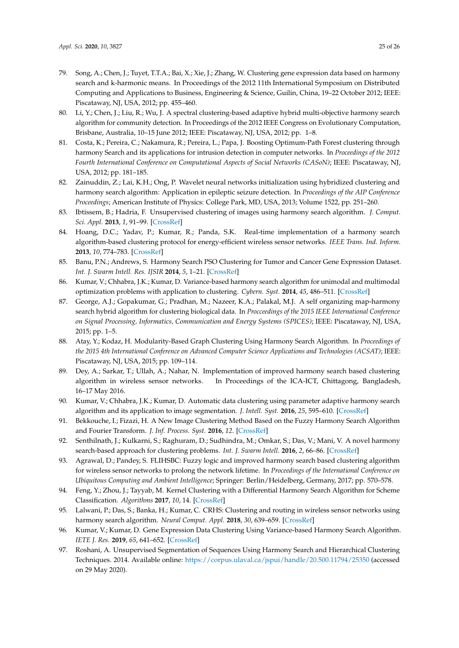- <span id="page-24-29"></span><span id="page-24-7"></span><span id="page-24-6"></span><span id="page-24-5"></span><span id="page-24-4"></span><span id="page-24-3"></span><span id="page-24-2"></span><span id="page-24-1"></span><span id="page-24-0"></span>79. Song, A.; Chen, J.; Tuyet, T.T.A.; Bai, X.; Xie, J.; Zhang, W. Clustering gene expression data based on harmony search and k-harmonic means. In Proceedings of the 2012 11th International Symposium on Distributed Computing and Applications to Business, Engineering & Science, Guilin, China, 19–22 October 2012; IEEE: Piscataway, NJ, USA, 2012; pp. 455–460.
- <span id="page-24-33"></span><span id="page-24-8"></span>80. Li, Y.; Chen, J.; Liu, R.; Wu, J. A spectral clustering-based adaptive hybrid multi-objective harmony search algorithm for community detection. In Proceedings of the 2012 IEEE Congress on Evolutionary Computation, Brisbane, Australia, 10–15 June 2012; IEEE: Piscataway, NJ, USA, 2012; pp. 1–8.
- <span id="page-24-34"></span><span id="page-24-9"></span>81. Costa, K.; Pereira, C.; Nakamura, R.; Pereira, L.; Papa, J. Boosting Optimum-Path Forest clustering through harmony Search and its applications for intrusion detection in computer networks. In *Proceedings of the 2012 Fourth International Conference on Computational Aspects of Social Networks (CASoN)*; IEEE: Piscataway, NJ, USA, 2012; pp. 181–185.
- <span id="page-24-36"></span><span id="page-24-10"></span>82. Zainuddin, Z.; Lai, K.H.; Ong, P. Wavelet neural networks initialization using hybridized clustering and harmony search algorithm: Application in epileptic seizure detection. In *Proceedings of the AIP Conference Proceedings*; American Institute of Physics: College Park, MD, USA, 2013; Volume 1522, pp. 251–260.
- <span id="page-24-20"></span><span id="page-24-11"></span>83. Ibtissem, B.; Hadria, F. Unsupervised clustering of images using harmony search algorithm. *J. Comput. Sci. Appl.* **2013**, *1*, 91–99. [\[CrossRef\]](http://dx.doi.org/10.12691/jcsa-1-5-3)
- <span id="page-24-26"></span><span id="page-24-12"></span>84. Hoang, D.C.; Yadav, P.; Kumar, R.; Panda, S.K. Real-time implementation of a harmony search algorithm-based clustering protocol for energy-efficient wireless sensor networks. *IEEE Trans. Ind. Inform.* **2013**, *10*, 774–783. [\[CrossRef\]](http://dx.doi.org/10.1109/TII.2013.2273739)
- <span id="page-24-30"></span><span id="page-24-14"></span><span id="page-24-13"></span>85. Banu, P.N.; Andrews, S. Harmony Search PSO Clustering for Tumor and Cancer Gene Expression Dataset. *Int. J. Swarm Intell. Res. IJSIR* **2014**, *5*, 1–21. [\[CrossRef\]](http://dx.doi.org/10.4018/ijsir.2014070101)
- <span id="page-24-19"></span>86. Kumar, V.; Chhabra, J.K.; Kumar, D. Variance-based harmony search algorithm for unimodal and multimodal optimization problems with application to clustering. *Cybern. Syst.* **2014**, *45*, 486–511. [\[CrossRef\]](http://dx.doi.org/10.1080/01969722.2014.929349)
- <span id="page-24-31"></span><span id="page-24-16"></span><span id="page-24-15"></span>87. George, A.J.; Gopakumar, G.; Pradhan, M.; Nazeer, K.A.; Palakal, M.J. A self organizing map-harmony search hybrid algorithm for clustering biological data. In *Procceedings of the 2015 IEEE International Conference on Signal Processing, Informatics, Communication and Energy Systems (SPICES)*; IEEE: Piscataway, NJ, USA, 2015; pp. 1–5.
- <span id="page-24-35"></span><span id="page-24-17"></span>88. Atay, Y.; Kodaz, H. Modularity-Based Graph Clustering Using Harmony Search Algorithm. In *Proceedings of the 2015 4th International Conference on Advanced Computer Science Applications and Technologies (ACSAT)*; IEEE: Piscataway, NJ, USA, 2015; pp. 109–114.
- <span id="page-24-27"></span>89. Dey, A.; Sarkar, T.; Ullah, A.; Nahar, N. Implementation of improved harmony search based clustering algorithm in wireless sensor networks. In Proceedings of the ICA-ICT, Chittagong, Bangladesh, 16–17 May 2016.
- <span id="page-24-23"></span>90. Kumar, V.; Chhabra, J.K.; Kumar, D. Automatic data clustering using parameter adaptive harmony search algorithm and its application to image segmentation. *J. Intell. Syst.* **2016**, *25*, 595–610. [\[CrossRef\]](http://dx.doi.org/10.1515/jisys-2015-0004)
- <span id="page-24-24"></span>91. Bekkouche, I.; Fizazi, H. A New Image Clustering Method Based on the Fuzzy Harmony Search Algorithm and Fourier Transform. *J. Inf. Process. Syst.* **2016**, *12*. [\[CrossRef\]](http://dx.doi.org/10.3745/JIPS.02.0047)
- <span id="page-24-25"></span>92. Senthilnath, J.; Kulkarni, S.; Raghuram, D.; Sudhindra, M.; Omkar, S.; Das, V.; Mani, V. A novel harmony search-based approach for clustering problems. *Int. J. Swarm Intell.* **2016**, *2*, 66–86. [\[CrossRef\]](http://dx.doi.org/10.1504/IJSI.2016.077434)
- <span id="page-24-21"></span>93. Agrawal, D.; Pandey, S. FLIHSBC: Fuzzy logic and improved harmony search based clustering algorithm for wireless sensor networks to prolong the network lifetime. In *Proceedings of the International Conference on Ubiquitous Computing and Ambient Intelligence*; Springer: Berlin/Heidelberg, Germany, 2017; pp. 570–578.
- <span id="page-24-22"></span>94. Feng, Y.; Zhou, J.; Tayyab, M. Kernel Clustering with a Differential Harmony Search Algorithm for Scheme Classification. *Algorithms* **2017**, *10*, 14. [\[CrossRef\]](http://dx.doi.org/10.3390/a10010014)
- <span id="page-24-28"></span>95. Lalwani, P.; Das, S.; Banka, H.; Kumar, C. CRHS: Clustering and routing in wireless sensor networks using harmony search algorithm. *Neural Comput. Appl.* **2018**, *30*, 639–659. [\[CrossRef\]](http://dx.doi.org/10.1007/s00521-016-2662-4)
- <span id="page-24-32"></span>96. Kumar, V.; Kumar, D. Gene Expression Data Clustering Using Variance-based Harmony Search Algorithm. *IETE J. Res.* **2019**, *65*, 641–652. [\[CrossRef\]](http://dx.doi.org/10.1080/03772063.2018.1452641)
- <span id="page-24-18"></span>97. Roshani, A. Unsupervised Segmentation of Sequences Using Harmony Search and Hierarchical Clustering Techniques. 2014. Available online: <https://corpus.ulaval.ca/jspui/handle/20.500.11794/25350> (accessed on 29 May 2020).